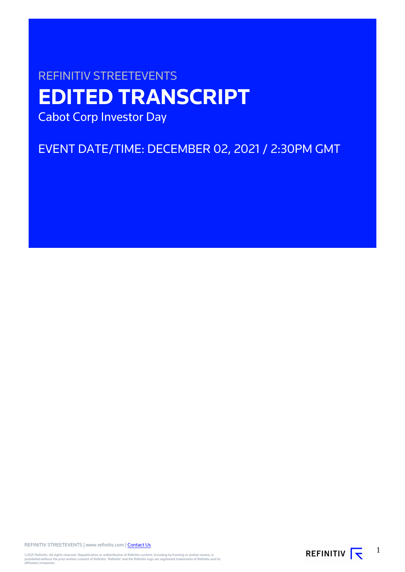# REFINITIV STREETEVENTS **EDITED TRANSCRIPT** Cabot Corp Investor Day

EVENT DATE/TIME: DECEMBER 02, 2021 / 2:30PM GMT

REFINITIV STREETEVENTS | www.refinitiv.com | [Contact Us](https://www.refinitiv.com/en/contact-us)

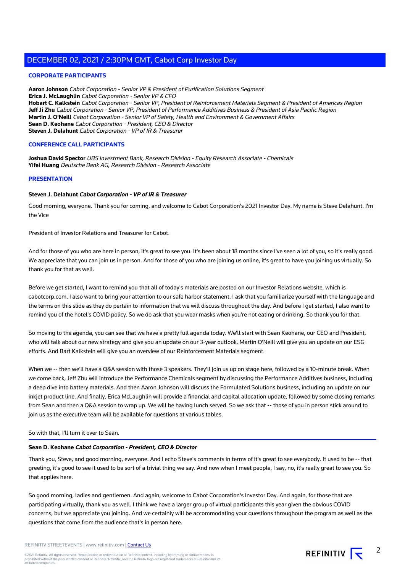### **CORPORATE PARTICIPANTS**

**Aaron Johnson** Cabot Corporation - Senior VP & President of Purification Solutions Segment **Erica J. McLaughlin** Cabot Corporation - Senior VP & CFO **Hobart C. Kalkstein** Cabot Corporation - Senior VP, President of Reinforcement Materials Segment & President of Americas Region **Jeff Ji Zhu** Cabot Corporation - Senior VP, President of Performance Additives Business & President of Asia Pacific Region **Martin J. O'Neill** Cabot Corporation - Senior VP of Safety, Health and Environment & Government Affairs **Sean D. Keohane** Cabot Corporation - President, CEO & Director **Steven J. Delahunt** Cabot Corporation - VP of IR & Treasurer

### **CONFERENCE CALL PARTICIPANTS**

**Joshua David Spector** UBS Investment Bank, Research Division - Equity Research Associate - Chemicals **Yifei Huang** Deutsche Bank AG, Research Division - Research Associate

### **PRESENTATION**

### **Steven J. Delahunt Cabot Corporation - VP of IR & Treasurer**

Good morning, everyone. Thank you for coming, and welcome to Cabot Corporation's 2021 Investor Day. My name is Steve Delahunt. I'm the Vice

President of Investor Relations and Treasurer for Cabot.

And for those of you who are here in person, it's great to see you. It's been about 18 months since I've seen a lot of you, so it's really good. We appreciate that you can join us in person. And for those of you who are joining us online, it's great to have you joining us virtually. So thank you for that as well.

Before we get started, I want to remind you that all of today's materials are posted on our Investor Relations website, which is cabotcorp.com. I also want to bring your attention to our safe harbor statement. I ask that you familiarize yourself with the language and the terms on this slide as they do pertain to information that we will discuss throughout the day. And before I get started, I also want to remind you of the hotel's COVID policy. So we do ask that you wear masks when you're not eating or drinking. So thank you for that.

So moving to the agenda, you can see that we have a pretty full agenda today. We'll start with Sean Keohane, our CEO and President, who will talk about our new strategy and give you an update on our 3-year outlook. Martin O'Neill will give you an update on our ESG efforts. And Bart Kalkstein will give you an overview of our Reinforcement Materials segment.

When we -- then we'll have a Q&A session with those 3 speakers. They'll join us up on stage here, followed by a 10-minute break. When we come back, Jeff Zhu will introduce the Performance Chemicals segment by discussing the Performance Additives business, including a deep dive into battery materials. And then Aaron Johnson will discuss the Formulated Solutions business, including an update on our inkjet product line. And finally, Erica McLaughlin will provide a financial and capital allocation update, followed by some closing remarks from Sean and then a Q&A session to wrap up. We will be having lunch served. So we ask that -- those of you in person stick around to join us as the executive team will be available for questions at various tables.

### So with that, I'll turn it over to Sean.

### **Sean D. Keohane Cabot Corporation - President, CEO & Director**

Thank you, Steve, and good morning, everyone. And I echo Steve's comments in terms of it's great to see everybody. It used to be -- that greeting, it's good to see it used to be sort of a trivial thing we say. And now when I meet people, I say, no, it's really great to see you. So that applies here.

So good morning, ladies and gentlemen. And again, welcome to Cabot Corporation's Investor Day. And again, for those that are participating virtually, thank you as well. I think we have a larger group of virtual participants this year given the obvious COVID concerns, but we appreciate you joining. And we certainly will be accommodating your questions throughout the program as well as the questions that come from the audience that's in person here.

REFINITIV STREETEVENTS | www.refinitiv.com | [Contact Us](https://www.refinitiv.com/en/contact-us)

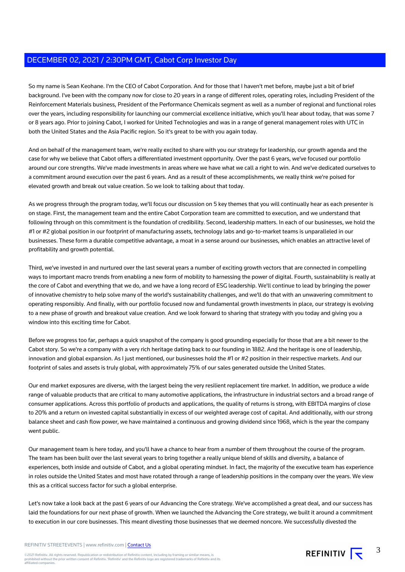So my name is Sean Keohane. I'm the CEO of Cabot Corporation. And for those that I haven't met before, maybe just a bit of brief background. I've been with the company now for close to 20 years in a range of different roles, operating roles, including President of the Reinforcement Materials business, President of the Performance Chemicals segment as well as a number of regional and functional roles over the years, including responsibility for launching our commercial excellence initiative, which you'll hear about today, that was some 7 or 8 years ago. Prior to joining Cabot, I worked for United Technologies and was in a range of general management roles with UTC in both the United States and the Asia Pacific region. So it's great to be with you again today.

And on behalf of the management team, we're really excited to share with you our strategy for leadership, our growth agenda and the case for why we believe that Cabot offers a differentiated investment opportunity. Over the past 6 years, we've focused our portfolio around our core strengths. We've made investments in areas where we have what we call a right to win. And we've dedicated ourselves to a commitment around execution over the past 6 years. And as a result of these accomplishments, we really think we're poised for elevated growth and break out value creation. So we look to talking about that today.

As we progress through the program today, we'll focus our discussion on 5 key themes that you will continually hear as each presenter is on stage. First, the management team and the entire Cabot Corporation team are committed to execution, and we understand that following through on this commitment is the foundation of credibility. Second, leadership matters. In each of our businesses, we hold the #1 or #2 global position in our footprint of manufacturing assets, technology labs and go-to-market teams is unparalleled in our businesses. These form a durable competitive advantage, a moat in a sense around our businesses, which enables an attractive level of profitability and growth potential.

Third, we've invested in and nurtured over the last several years a number of exciting growth vectors that are connected in compelling ways to important macro trends from enabling a new form of mobility to harnessing the power of digital. Fourth, sustainability is really at the core of Cabot and everything that we do, and we have a long record of ESG leadership. We'll continue to lead by bringing the power of innovative chemistry to help solve many of the world's sustainability challenges, and we'll do that with an unwavering commitment to operating responsibly. And finally, with our portfolio focused now and fundamental growth investments in place, our strategy is evolving to a new phase of growth and breakout value creation. And we look forward to sharing that strategy with you today and giving you a window into this exciting time for Cabot.

Before we progress too far, perhaps a quick snapshot of the company is good grounding especially for those that are a bit newer to the Cabot story. So we're a company with a very rich heritage dating back to our founding in 1882. And the heritage is one of leadership, innovation and global expansion. As I just mentioned, our businesses hold the #1 or #2 position in their respective markets. And our footprint of sales and assets is truly global, with approximately 75% of our sales generated outside the United States.

Our end market exposures are diverse, with the largest being the very resilient replacement tire market. In addition, we produce a wide range of valuable products that are critical to many automotive applications, the infrastructure in industrial sectors and a broad range of consumer applications. Across this portfolio of products and applications, the quality of returns is strong, with EBITDA margins of close to 20% and a return on invested capital substantially in excess of our weighted average cost of capital. And additionally, with our strong balance sheet and cash flow power, we have maintained a continuous and growing dividend since 1968, which is the year the company went public.

Our management team is here today, and you'll have a chance to hear from a number of them throughout the course of the program. The team has been built over the last several years to bring together a really unique blend of skills and diversity, a balance of experiences, both inside and outside of Cabot, and a global operating mindset. In fact, the majority of the executive team has experience in roles outside the United States and most have rotated through a range of leadership positions in the company over the years. We view this as a critical success factor for such a global enterprise.

Let's now take a look back at the past 6 years of our Advancing the Core strategy. We've accomplished a great deal, and our success has laid the foundations for our next phase of growth. When we launched the Advancing the Core strategy, we built it around a commitment to execution in our core businesses. This meant divesting those businesses that we deemed noncore. We successfully divested the

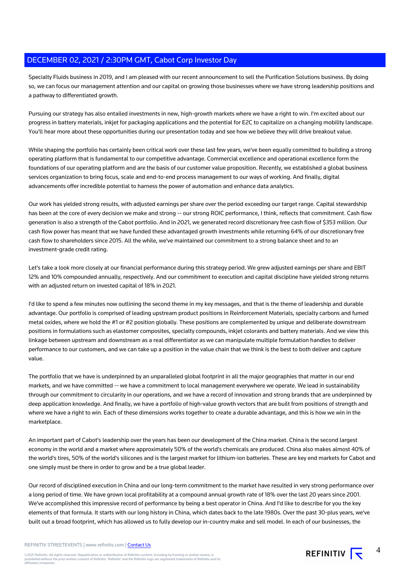Specialty Fluids business in 2019, and I am pleased with our recent announcement to sell the Purification Solutions business. By doing so, we can focus our management attention and our capital on growing those businesses where we have strong leadership positions and a pathway to differentiated growth.

Pursuing our strategy has also entailed investments in new, high-growth markets where we have a right to win. I'm excited about our progress in battery materials, inkjet for packaging applications and the potential for E2C to capitalize on a changing mobility landscape. You'll hear more about these opportunities during our presentation today and see how we believe they will drive breakout value.

While shaping the portfolio has certainly been critical work over these last few years, we've been equally committed to building a strong operating platform that is fundamental to our competitive advantage. Commercial excellence and operational excellence form the foundations of our operating platform and are the basis of our customer value proposition. Recently, we established a global business services organization to bring focus, scale and end-to-end process management to our ways of working. And finally, digital advancements offer incredible potential to harness the power of automation and enhance data analytics.

Our work has yielded strong results, with adjusted earnings per share over the period exceeding our target range. Capital stewardship has been at the core of every decision we make and strong -- our strong ROIC performance, I think, reflects that commitment. Cash flow generation is also a strength of the Cabot portfolio. And in 2021, we generated record discretionary free cash flow of \$353 million. Our cash flow power has meant that we have funded these advantaged growth investments while returning 64% of our discretionary free cash flow to shareholders since 2015. All the while, we've maintained our commitment to a strong balance sheet and to an investment-grade credit rating.

Let's take a look more closely at our financial performance during this strategy period. We grew adjusted earnings per share and EBIT 12% and 10% compounded annually, respectively. And our commitment to execution and capital discipline have yielded strong returns with an adjusted return on invested capital of 18% in 2021.

I'd like to spend a few minutes now outlining the second theme in my key messages, and that is the theme of leadership and durable advantage. Our portfolio is comprised of leading upstream product positions in Reinforcement Materials, specialty carbons and fumed metal oxides, where we hold the #1 or #2 position globally. These positions are complemented by unique and deliberate downstream positions in formulations such as elastomer composites, specialty compounds, inkjet colorants and battery materials. And we view this linkage between upstream and downstream as a real differentiator as we can manipulate multiple formulation handles to deliver performance to our customers, and we can take up a position in the value chain that we think is the best to both deliver and capture value.

The portfolio that we have is underpinned by an unparalleled global footprint in all the major geographies that matter in our end markets, and we have committed -- we have a commitment to local management everywhere we operate. We lead in sustainability through our commitment to circularity in our operations, and we have a record of innovation and strong brands that are underpinned by deep application knowledge. And finally, we have a portfolio of high-value growth vectors that are built from positions of strength and where we have a right to win. Each of these dimensions works together to create a durable advantage, and this is how we win in the marketplace.

An important part of Cabot's leadership over the years has been our development of the China market. China is the second largest economy in the world and a market where approximately 50% of the world's chemicals are produced. China also makes almost 40% of the world's tires, 50% of the world's silicones and is the largest market for lithium-ion batteries. These are key end markets for Cabot and one simply must be there in order to grow and be a true global leader.

Our record of disciplined execution in China and our long-term commitment to the market have resulted in very strong performance over a long period of time. We have grown local profitability at a compound annual growth rate of 18% over the last 20 years since 2001. We've accomplished this impressive record of performance by being a best operator in China. And I'd like to describe for you the key elements of that formula. It starts with our long history in China, which dates back to the late 1980s. Over the past 30-plus years, we've built out a broad footprint, which has allowed us to fully develop our in-country make and sell model. In each of our businesses, the

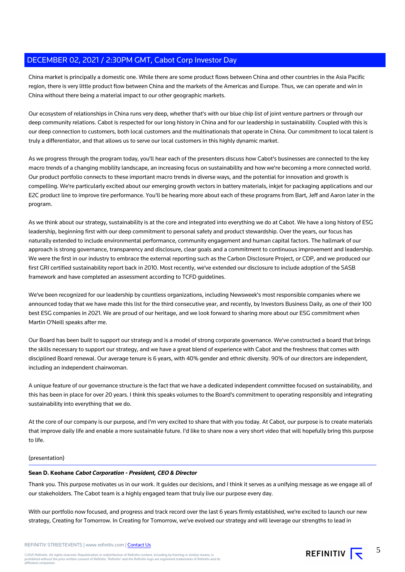China market is principally a domestic one. While there are some product flows between China and other countries in the Asia Pacific region, there is very little product flow between China and the markets of the Americas and Europe. Thus, we can operate and win in China without there being a material impact to our other geographic markets.

Our ecosystem of relationships in China runs very deep, whether that's with our blue chip list of joint venture partners or through our deep community relations. Cabot is respected for our long history in China and for our leadership in sustainability. Coupled with this is our deep connection to customers, both local customers and the multinationals that operate in China. Our commitment to local talent is truly a differentiator, and that allows us to serve our local customers in this highly dynamic market.

As we progress through the program today, you'll hear each of the presenters discuss how Cabot's businesses are connected to the key macro trends of a changing mobility landscape, an increasing focus on sustainability and how we're becoming a more connected world. Our product portfolio connects to these important macro trends in diverse ways, and the potential for innovation and growth is compelling. We're particularly excited about our emerging growth vectors in battery materials, inkjet for packaging applications and our E2C product line to improve tire performance. You'll be hearing more about each of these programs from Bart, Jeff and Aaron later in the program.

As we think about our strategy, sustainability is at the core and integrated into everything we do at Cabot. We have a long history of ESG leadership, beginning first with our deep commitment to personal safety and product stewardship. Over the years, our focus has naturally extended to include environmental performance, community engagement and human capital factors. The hallmark of our approach is strong governance, transparency and disclosure, clear goals and a commitment to continuous improvement and leadership. We were the first in our industry to embrace the external reporting such as the Carbon Disclosure Project, or CDP, and we produced our first GRI certified sustainability report back in 2010. Most recently, we've extended our disclosure to include adoption of the SASB framework and have completed an assessment according to TCFD guidelines.

We've been recognized for our leadership by countless organizations, including Newsweek's most responsible companies where we announced today that we have made this list for the third consecutive year, and recently, by Investors Business Daily, as one of their 100 best ESG companies in 2021. We are proud of our heritage, and we look forward to sharing more about our ESG commitment when Martin O'Neill speaks after me.

Our Board has been built to support our strategy and is a model of strong corporate governance. We've constructed a board that brings the skills necessary to support our strategy, and we have a great blend of experience with Cabot and the freshness that comes with disciplined Board renewal. Our average tenure is 6 years, with 40% gender and ethnic diversity. 90% of our directors are independent, including an independent chairwoman.

A unique feature of our governance structure is the fact that we have a dedicated independent committee focused on sustainability, and this has been in place for over 20 years. I think this speaks volumes to the Board's commitment to operating responsibly and integrating sustainability into everything that we do.

At the core of our company is our purpose, and I'm very excited to share that with you today. At Cabot, our purpose is to create materials that improve daily life and enable a more sustainable future. I'd like to share now a very short video that will hopefully bring this purpose to life.

### (presentation)

### **Sean D. Keohane Cabot Corporation - President, CEO & Director**

Thank you. This purpose motivates us in our work. It guides our decisions, and I think it serves as a unifying message as we engage all of our stakeholders. The Cabot team is a highly engaged team that truly live our purpose every day.

With our portfolio now focused, and progress and track record over the last 6 years firmly established, we're excited to launch our new strategy, Creating for Tomorrow. In Creating for Tomorrow, we've evolved our strategy and will leverage our strengths to lead in



5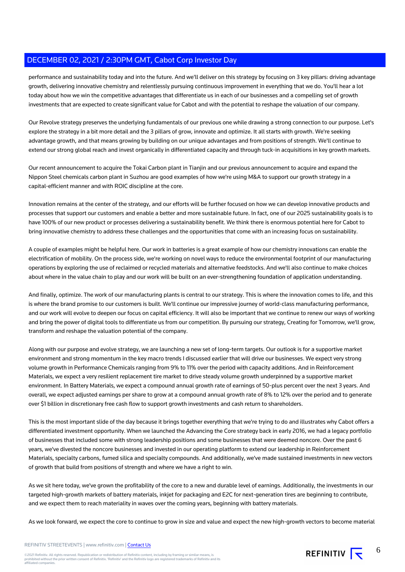performance and sustainability today and into the future. And we'll deliver on this strategy by focusing on 3 key pillars: driving advantage growth, delivering innovative chemistry and relentlessly pursuing continuous improvement in everything that we do. You'll hear a lot today about how we win the competitive advantages that differentiate us in each of our businesses and a compelling set of growth investments that are expected to create significant value for Cabot and with the potential to reshape the valuation of our company.

Our Revolve strategy preserves the underlying fundamentals of our previous one while drawing a strong connection to our purpose. Let's explore the strategy in a bit more detail and the 3 pillars of grow, innovate and optimize. It all starts with growth. We're seeking advantage growth, and that means growing by building on our unique advantages and from positions of strength. We'll continue to extend our strong global reach and invest organically in differentiated capacity and through tuck-in acquisitions in key growth markets.

Our recent announcement to acquire the Tokai Carbon plant in Tianjin and our previous announcement to acquire and expand the Nippon Steel chemicals carbon plant in Suzhou are good examples of how we're using M&A to support our growth strategy in a capital-efficient manner and with ROIC discipline at the core.

Innovation remains at the center of the strategy, and our efforts will be further focused on how we can develop innovative products and processes that support our customers and enable a better and more sustainable future. In fact, one of our 2025 sustainability goals is to have 100% of our new product or processes delivering a sustainability benefit. We think there is enormous potential here for Cabot to bring innovative chemistry to address these challenges and the opportunities that come with an increasing focus on sustainability.

A couple of examples might be helpful here. Our work in batteries is a great example of how our chemistry innovations can enable the electrification of mobility. On the process side, we're working on novel ways to reduce the environmental footprint of our manufacturing operations by exploring the use of reclaimed or recycled materials and alternative feedstocks. And we'll also continue to make choices about where in the value chain to play and our work will be built on an ever-strengthening foundation of application understanding.

And finally, optimize. The work of our manufacturing plants is central to our strategy. This is where the innovation comes to life, and this is where the brand promise to our customers is built. We'll continue our impressive journey of world-class manufacturing performance, and our work will evolve to deepen our focus on capital efficiency. It will also be important that we continue to renew our ways of working and bring the power of digital tools to differentiate us from our competition. By pursuing our strategy, Creating for Tomorrow, we'll grow, transform and reshape the valuation potential of the company.

Along with our purpose and evolve strategy, we are launching a new set of long-term targets. Our outlook is for a supportive market environment and strong momentum in the key macro trends I discussed earlier that will drive our businesses. We expect very strong volume growth in Performance Chemicals ranging from 9% to 11% over the period with capacity additions. And in Reinforcement Materials, we expect a very resilient replacement tire market to drive steady volume growth underpinned by a supportive market environment. In Battery Materials, we expect a compound annual growth rate of earnings of 50-plus percent over the next 3 years. And overall, we expect adjusted earnings per share to grow at a compound annual growth rate of 8% to 12% over the period and to generate over \$1 billion in discretionary free cash flow to support growth investments and cash return to shareholders.

This is the most important slide of the day because it brings together everything that we're trying to do and illustrates why Cabot offers a differentiated investment opportunity. When we launched the Advancing the Core strategy back in early 2016, we had a legacy portfolio of businesses that included some with strong leadership positions and some businesses that were deemed noncore. Over the past 6 years, we've divested the noncore businesses and invested in our operating platform to extend our leadership in Reinforcement Materials, specialty carbons, fumed silica and specialty compounds. And additionally, we've made sustained investments in new vectors of growth that build from positions of strength and where we have a right to win.

As we sit here today, we've grown the profitability of the core to a new and durable level of earnings. Additionally, the investments in our targeted high-growth markets of battery materials, inkjet for packaging and E2C for next-generation tires are beginning to contribute, and we expect them to reach materiality in waves over the coming years, beginning with battery materials.

As we look forward, we expect the core to continue to grow in size and value and expect the new high-growth vectors to become material

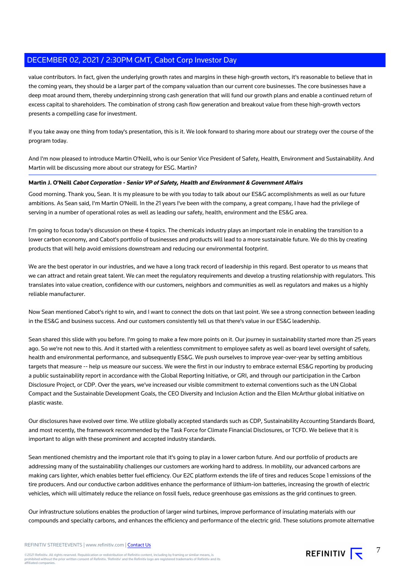value contributors. In fact, given the underlying growth rates and margins in these high-growth vectors, it's reasonable to believe that in the coming years, they should be a larger part of the company valuation than our current core businesses. The core businesses have a deep moat around them, thereby underpinning strong cash generation that will fund our growth plans and enable a continued return of excess capital to shareholders. The combination of strong cash flow generation and breakout value from these high-growth vectors presents a compelling case for investment.

If you take away one thing from today's presentation, this is it. We look forward to sharing more about our strategy over the course of the program today.

And I'm now pleased to introduce Martin O'Neill, who is our Senior Vice President of Safety, Health, Environment and Sustainability. And Martin will be discussing more about our strategy for ESG. Martin?

### **Martin J. O'Neill Cabot Corporation - Senior VP of Safety, Health and Environment & Government Affairs**

Good morning. Thank you, Sean. It is my pleasure to be with you today to talk about our ES&G accomplishments as well as our future ambitions. As Sean said, I'm Martin O'Neill. In the 21 years I've been with the company, a great company, I have had the privilege of serving in a number of operational roles as well as leading our safety, health, environment and the ES&G area.

I'm going to focus today's discussion on these 4 topics. The chemicals industry plays an important role in enabling the transition to a lower carbon economy, and Cabot's portfolio of businesses and products will lead to a more sustainable future. We do this by creating products that will help avoid emissions downstream and reducing our environmental footprint.

We are the best operator in our industries, and we have a long track record of leadership in this regard. Best operator to us means that we can attract and retain great talent. We can meet the regulatory requirements and develop a trusting relationship with regulators. This translates into value creation, confidence with our customers, neighbors and communities as well as regulators and makes us a highly reliable manufacturer.

Now Sean mentioned Cabot's right to win, and I want to connect the dots on that last point. We see a strong connection between leading in the ES&G and business success. And our customers consistently tell us that there's value in our ES&G leadership.

Sean shared this slide with you before. I'm going to make a few more points on it. Our journey in sustainability started more than 25 years ago. So we're not new to this. And it started with a relentless commitment to employee safety as well as board level oversight of safety, health and environmental performance, and subsequently ES&G. We push ourselves to improve year-over-year by setting ambitious targets that measure -- help us measure our success. We were the first in our industry to embrace external ES&G reporting by producing a public sustainability report in accordance with the Global Reporting Initiative, or GRI, and through our participation in the Carbon Disclosure Project, or CDP. Over the years, we've increased our visible commitment to external conventions such as the UN Global Compact and the Sustainable Development Goals, the CEO Diversity and Inclusion Action and the Ellen McArthur global initiative on plastic waste.

Our disclosures have evolved over time. We utilize globally accepted standards such as CDP, Sustainability Accounting Standards Board, and most recently, the framework recommended by the Task Force for Climate Financial Disclosures, or TCFD. We believe that it is important to align with these prominent and accepted industry standards.

Sean mentioned chemistry and the important role that it's going to play in a lower carbon future. And our portfolio of products are addressing many of the sustainability challenges our customers are working hard to address. In mobility, our advanced carbons are making cars lighter, which enables better fuel efficiency. Our E2C platform extends the life of tires and reduces Scope 1 emissions of the tire producers. And our conductive carbon additives enhance the performance of lithium-ion batteries, increasing the growth of electric vehicles, which will ultimately reduce the reliance on fossil fuels, reduce greenhouse gas emissions as the grid continues to green.

Our infrastructure solutions enables the production of larger wind turbines, improve performance of insulating materials with our compounds and specialty carbons, and enhances the efficiency and performance of the electric grid. These solutions promote alternative

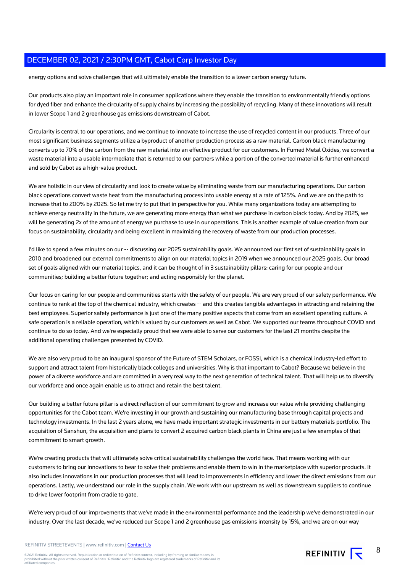energy options and solve challenges that will ultimately enable the transition to a lower carbon energy future.

Our products also play an important role in consumer applications where they enable the transition to environmentally friendly options for dyed fiber and enhance the circularity of supply chains by increasing the possibility of recycling. Many of these innovations will result in lower Scope 1 and 2 greenhouse gas emissions downstream of Cabot.

Circularity is central to our operations, and we continue to innovate to increase the use of recycled content in our products. Three of our most significant business segments utilize a byproduct of another production process as a raw material. Carbon black manufacturing converts up to 70% of the carbon from the raw material into an effective product for our customers. In Fumed Metal Oxides, we convert a waste material into a usable intermediate that is returned to our partners while a portion of the converted material is further enhanced and sold by Cabot as a high-value product.

We are holistic in our view of circularity and look to create value by eliminating waste from our manufacturing operations. Our carbon black operations convert waste heat from the manufacturing process into usable energy at a rate of 125%. And we are on the path to increase that to 200% by 2025. So let me try to put that in perspective for you. While many organizations today are attempting to achieve energy neutrality in the future, we are generating more energy than what we purchase in carbon black today. And by 2025, we will be generating 2x of the amount of energy we purchase to use in our operations. This is another example of value creation from our focus on sustainability, circularity and being excellent in maximizing the recovery of waste from our production processes.

I'd like to spend a few minutes on our -- discussing our 2025 sustainability goals. We announced our first set of sustainability goals in 2010 and broadened our external commitments to align on our material topics in 2019 when we announced our 2025 goals. Our broad set of goals aligned with our material topics, and it can be thought of in 3 sustainability pillars: caring for our people and our communities; building a better future together; and acting responsibly for the planet.

Our focus on caring for our people and communities starts with the safety of our people. We are very proud of our safety performance. We continue to rank at the top of the chemical industry, which creates -- and this creates tangible advantages in attracting and retaining the best employees. Superior safety performance is just one of the many positive aspects that come from an excellent operating culture. A safe operation is a reliable operation, which is valued by our customers as well as Cabot. We supported our teams throughout COVID and continue to do so today. And we're especially proud that we were able to serve our customers for the last 21 months despite the additional operating challenges presented by COVID.

We are also very proud to be an inaugural sponsor of the Future of STEM Scholars, or FOSSI, which is a chemical industry-led effort to support and attract talent from historically black colleges and universities. Why is that important to Cabot? Because we believe in the power of a diverse workforce and are committed in a very real way to the next generation of technical talent. That will help us to diversify our workforce and once again enable us to attract and retain the best talent.

Our building a better future pillar is a direct reflection of our commitment to grow and increase our value while providing challenging opportunities for the Cabot team. We're investing in our growth and sustaining our manufacturing base through capital projects and technology investments. In the last 2 years alone, we have made important strategic investments in our battery materials portfolio. The acquisition of Sanshun, the acquisition and plans to convert 2 acquired carbon black plants in China are just a few examples of that commitment to smart growth.

We're creating products that will ultimately solve critical sustainability challenges the world face. That means working with our customers to bring our innovations to bear to solve their problems and enable them to win in the marketplace with superior products. It also includes innovations in our production processes that will lead to improvements in efficiency and lower the direct emissions from our operations. Lastly, we understand our role in the supply chain. We work with our upstream as well as downstream suppliers to continue to drive lower footprint from cradle to gate.

We're very proud of our improvements that we've made in the environmental performance and the leadership we've demonstrated in our industry. Over the last decade, we've reduced our Scope 1 and 2 greenhouse gas emissions intensity by 15%, and we are on our way



8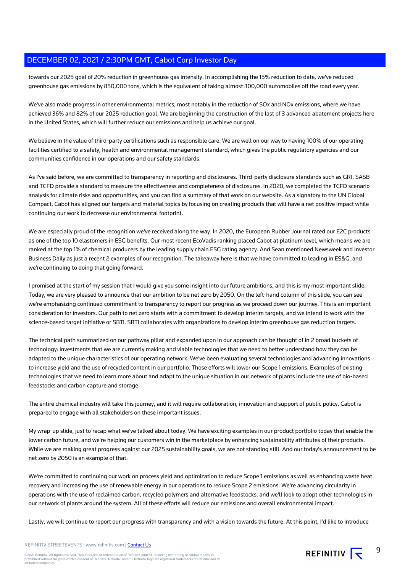towards our 2025 goal of 20% reduction in greenhouse gas intensity. In accomplishing the 15% reduction to date, we've reduced greenhouse gas emissions by 850,000 tons, which is the equivalent of taking almost 300,000 automobiles off the road every year.

We've also made progress in other environmental metrics, most notably in the reduction of SOx and NOx emissions, where we have achieved 36% and 82% of our 2025 reduction goal. We are beginning the construction of the last of 3 advanced abatement projects here in the United States, which will further reduce our emissions and help us achieve our goal.

We believe in the value of third-party certifications such as responsible care. We are well on our way to having 100% of our operating facilities certified to a safety, health and environmental management standard, which gives the public regulatory agencies and our communities confidence in our operations and our safety standards.

As I've said before, we are committed to transparency in reporting and disclosures. Third-party disclosure standards such as GRI, SASB and TCFD provide a standard to measure the effectiveness and completeness of disclosures. In 2020, we completed the TCFD scenario analysis for climate risks and opportunities, and you can find a summary of that work on our website. As a signatory to the UN Global Compact, Cabot has aligned our targets and material topics by focusing on creating products that will have a net positive impact while continuing our work to decrease our environmental footprint.

We are especially proud of the recognition we've received along the way. In 2020, the European Rubber Journal rated our E2C products as one of the top 10 elastomers in ESG benefits. Our most recent EcoVadis ranking placed Cabot at platinum level, which means we are ranked at the top 1% of chemical producers by the leading supply chain ESG rating agency. And Sean mentioned Newsweek and Investor Business Daily as just a recent 2 examples of our recognition. The takeaway here is that we have committed to leading in ES&G, and we're continuing to doing that going forward.

I promised at the start of my session that I would give you some insight into our future ambitions, and this is my most important slide. Today, we are very pleased to announce that our ambition to be net zero by 2050. On the left-hand column of this slide, you can see we're emphasizing continued commitment to transparency to report our progress as we proceed down our journey. This is an important consideration for investors. Our path to net zero starts with a commitment to develop interim targets, and we intend to work with the science-based target initiative or SBTi. SBTi collaborates with organizations to develop interim greenhouse gas reduction targets.

The technical path summarized on our pathway pillar and expanded upon in our approach can be thought of in 2 broad buckets of technology: investments that we are currently making and viable technologies that we need to better understand how they can be adapted to the unique characteristics of our operating network. We've been evaluating several technologies and advancing innovations to increase yield and the use of recycled content in our portfolio. Those efforts will lower our Scope 1 emissions. Examples of existing technologies that we need to learn more about and adapt to the unique situation in our network of plants include the use of bio-based feedstocks and carbon capture and storage.

The entire chemical industry will take this journey, and it will require collaboration, innovation and support of public policy. Cabot is prepared to engage with all stakeholders on these important issues.

My wrap-up slide, just to recap what we've talked about today. We have exciting examples in our product portfolio today that enable the lower carbon future, and we're helping our customers win in the marketplace by enhancing sustainability attributes of their products. While we are making great progress against our 2025 sustainability goals, we are not standing still. And our today's announcement to be net zero by 2050 is an example of that.

We're committed to continuing our work on process yield and optimization to reduce Scope 1 emissions as well as enhancing waste heat recovery and increasing the use of renewable energy in our operations to reduce Scope 2 emissions. We're advancing circularity in operations with the use of reclaimed carbon, recycled polymers and alternative feedstocks, and we'll look to adopt other technologies in our network of plants around the system. All of these efforts will reduce our emissions and overall environmental impact.

Lastly, we will continue to report our progress with transparency and with a vision towards the future. At this point, I'd like to introduce

### REFINITIV STREETEVENTS | www.refinitiv.com | [Contact Us](https://www.refinitiv.com/en/contact-us)



9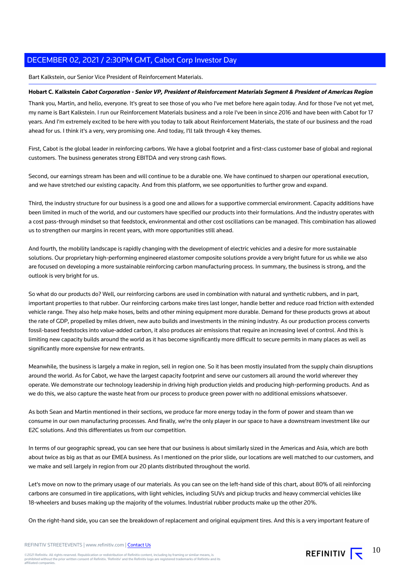Bart Kalkstein, our Senior Vice President of Reinforcement Materials.

### **Hobart C. Kalkstein Cabot Corporation - Senior VP, President of Reinforcement Materials Segment & President of Americas Region**

Thank you, Martin, and hello, everyone. It's great to see those of you who I've met before here again today. And for those I've not yet met, my name is Bart Kalkstein. I run our Reinforcement Materials business and a role I've been in since 2016 and have been with Cabot for 17 years. And I'm extremely excited to be here with you today to talk about Reinforcement Materials, the state of our business and the road ahead for us. I think it's a very, very promising one. And today, I'll talk through 4 key themes.

First, Cabot is the global leader in reinforcing carbons. We have a global footprint and a first-class customer base of global and regional customers. The business generates strong EBITDA and very strong cash flows.

Second, our earnings stream has been and will continue to be a durable one. We have continued to sharpen our operational execution, and we have stretched our existing capacity. And from this platform, we see opportunities to further grow and expand.

Third, the industry structure for our business is a good one and allows for a supportive commercial environment. Capacity additions have been limited in much of the world, and our customers have specified our products into their formulations. And the industry operates with a cost pass-through mindset so that feedstock, environmental and other cost oscillations can be managed. This combination has allowed us to strengthen our margins in recent years, with more opportunities still ahead.

And fourth, the mobility landscape is rapidly changing with the development of electric vehicles and a desire for more sustainable solutions. Our proprietary high-performing engineered elastomer composite solutions provide a very bright future for us while we also are focused on developing a more sustainable reinforcing carbon manufacturing process. In summary, the business is strong, and the outlook is very bright for us.

So what do our products do? Well, our reinforcing carbons are used in combination with natural and synthetic rubbers, and in part, important properties to that rubber. Our reinforcing carbons make tires last longer, handle better and reduce road friction with extended vehicle range. They also help make hoses, belts and other mining equipment more durable. Demand for these products grows at about the rate of GDP, propelled by miles driven, new auto builds and investments in the mining industry. As our production process converts fossil-based feedstocks into value-added carbon, it also produces air emissions that require an increasing level of control. And this is limiting new capacity builds around the world as it has become significantly more difficult to secure permits in many places as well as significantly more expensive for new entrants.

Meanwhile, the business is largely a make in region, sell in region one. So it has been mostly insulated from the supply chain disruptions around the world. As for Cabot, we have the largest capacity footprint and serve our customers all around the world wherever they operate. We demonstrate our technology leadership in driving high production yields and producing high-performing products. And as we do this, we also capture the waste heat from our process to produce green power with no additional emissions whatsoever.

As both Sean and Martin mentioned in their sections, we produce far more energy today in the form of power and steam than we consume in our own manufacturing processes. And finally, we're the only player in our space to have a downstream investment like our E2C solutions. And this differentiates us from our competition.

In terms of our geographic spread, you can see here that our business is about similarly sized in the Americas and Asia, which are both about twice as big as that as our EMEA business. As I mentioned on the prior slide, our locations are well matched to our customers, and we make and sell largely in region from our 20 plants distributed throughout the world.

Let's move on now to the primary usage of our materials. As you can see on the left-hand side of this chart, about 80% of all reinforcing carbons are consumed in tire applications, with light vehicles, including SUVs and pickup trucks and heavy commercial vehicles like 18-wheelers and buses making up the majority of the volumes. Industrial rubber products make up the other 20%.

On the right-hand side, you can see the breakdown of replacement and original equipment tires. And this is a very important feature of

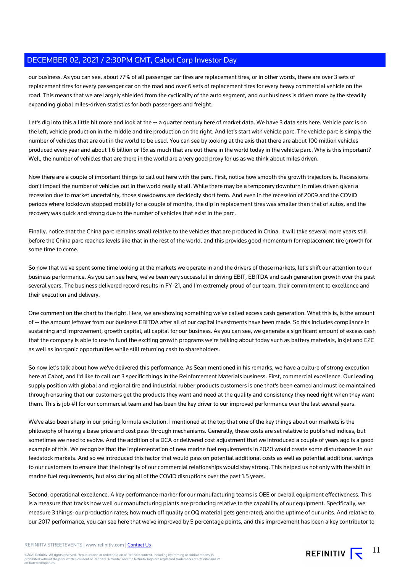our business. As you can see, about 77% of all passenger car tires are replacement tires, or in other words, there are over 3 sets of replacement tires for every passenger car on the road and over 6 sets of replacement tires for every heavy commercial vehicle on the road. This means that we are largely shielded from the cyclicality of the auto segment, and our business is driven more by the steadily expanding global miles-driven statistics for both passengers and freight.

Let's dig into this a little bit more and look at the -- a quarter century here of market data. We have 3 data sets here. Vehicle parc is on the left, vehicle production in the middle and tire production on the right. And let's start with vehicle parc. The vehicle parc is simply the number of vehicles that are out in the world to be used. You can see by looking at the axis that there are about 100 million vehicles produced every year and about 1.6 billion or 16x as much that are out there in the world today in the vehicle parc. Why is this important? Well, the number of vehicles that are there in the world are a very good proxy for us as we think about miles driven.

Now there are a couple of important things to call out here with the parc. First, notice how smooth the growth trajectory is. Recessions don't impact the number of vehicles out in the world really at all. While there may be a temporary downturn in miles driven given a recession due to market uncertainty, those slowdowns are decidedly short term. And even in the recession of 2009 and the COVID periods where lockdown stopped mobility for a couple of months, the dip in replacement tires was smaller than that of autos, and the recovery was quick and strong due to the number of vehicles that exist in the parc.

Finally, notice that the China parc remains small relative to the vehicles that are produced in China. It will take several more years still before the China parc reaches levels like that in the rest of the world, and this provides good momentum for replacement tire growth for some time to come.

So now that we've spent some time looking at the markets we operate in and the drivers of those markets, let's shift our attention to our business performance. As you can see here, we've been very successful in driving EBIT, EBITDA and cash generation growth over the past several years. The business delivered record results in FY '21, and I'm extremely proud of our team, their commitment to excellence and their execution and delivery.

One comment on the chart to the right. Here, we are showing something we've called excess cash generation. What this is, is the amount of -- the amount leftover from our business EBITDA after all of our capital investments have been made. So this includes compliance in sustaining and improvement, growth capital, all capital for our business. As you can see, we generate a significant amount of excess cash that the company is able to use to fund the exciting growth programs we're talking about today such as battery materials, inkjet and E2C as well as inorganic opportunities while still returning cash to shareholders.

So now let's talk about how we've delivered this performance. As Sean mentioned in his remarks, we have a culture of strong execution here at Cabot, and I'd like to call out 3 specific things in the Reinforcement Materials business. First, commercial excellence. Our leading supply position with global and regional tire and industrial rubber products customers is one that's been earned and must be maintained through ensuring that our customers get the products they want and need at the quality and consistency they need right when they want them. This is job #1 for our commercial team and has been the key driver to our improved performance over the last several years.

We've also been sharp in our pricing formula evolution. I mentioned at the top that one of the key things about our markets is the philosophy of having a base price and cost pass-through mechanisms. Generally, these costs are set relative to published indices, but sometimes we need to evolve. And the addition of a DCA or delivered cost adjustment that we introduced a couple of years ago is a good example of this. We recognize that the implementation of new marine fuel requirements in 2020 would create some disturbances in our feedstock markets. And so we introduced this factor that would pass on potential additional costs as well as potential additional savings to our customers to ensure that the integrity of our commercial relationships would stay strong. This helped us not only with the shift in marine fuel requirements, but also during all of the COVID disruptions over the past 1.5 years.

Second, operational excellence. A key performance marker for our manufacturing teams is OEE or overall equipment effectiveness. This is a measure that tracks how well our manufacturing plants are producing relative to the capability of our equipment. Specifically, we measure 3 things: our production rates; how much off quality or OQ material gets generated; and the uptime of our units. And relative to our 2017 performance, you can see here that we've improved by 5 percentage points, and this improvement has been a key contributor to

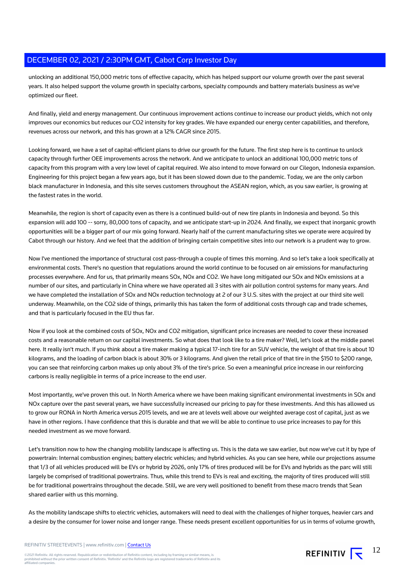unlocking an additional 150,000 metric tons of effective capacity, which has helped support our volume growth over the past several years. It also helped support the volume growth in specialty carbons, specialty compounds and battery materials business as we've optimized our fleet.

And finally, yield and energy management. Our continuous improvement actions continue to increase our product yields, which not only improves our economics but reduces our CO2 intensity for key grades. We have expanded our energy center capabilities, and therefore, revenues across our network, and this has grown at a 12% CAGR since 2015.

Looking forward, we have a set of capital-efficient plans to drive our growth for the future. The first step here is to continue to unlock capacity through further OEE improvements across the network. And we anticipate to unlock an additional 100,000 metric tons of capacity from this program with a very low level of capital required. We also intend to move forward on our Cilegon, Indonesia expansion. Engineering for this project began a few years ago, but it has been slowed down due to the pandemic. Today, we are the only carbon black manufacturer in Indonesia, and this site serves customers throughout the ASEAN region, which, as you saw earlier, is growing at the fastest rates in the world.

Meanwhile, the region is short of capacity even as there is a continued build-out of new tire plants in Indonesia and beyond. So this expansion will add 100 -- sorry, 80,000 tons of capacity, and we anticipate start-up in 2024. And finally, we expect that inorganic growth opportunities will be a bigger part of our mix going forward. Nearly half of the current manufacturing sites we operate were acquired by Cabot through our history. And we feel that the addition of bringing certain competitive sites into our network is a prudent way to grow.

Now I've mentioned the importance of structural cost pass-through a couple of times this morning. And so let's take a look specifically at environmental costs. There's no question that regulations around the world continue to be focused on air emissions for manufacturing processes everywhere. And for us, that primarily means SOx, NOx and CO2. We have long mitigated our SOx and NOx emissions at a number of our sites, and particularly in China where we have operated all 3 sites with air pollution control systems for many years. And we have completed the installation of SOx and NOx reduction technology at 2 of our 3 U.S. sites with the project at our third site well underway. Meanwhile, on the CO2 side of things, primarily this has taken the form of additional costs through cap and trade schemes, and that is particularly focused in the EU thus far.

Now if you look at the combined costs of SOx, NOx and CO2 mitigation, significant price increases are needed to cover these increased costs and a reasonable return on our capital investments. So what does that look like to a tire maker? Well, let's look at the middle panel here. It really isn't much. If you think about a tire maker making a typical 17-inch tire for an SUV vehicle, the weight of that tire is about 10 kilograms, and the loading of carbon black is about 30% or 3 kilograms. And given the retail price of that tire in the \$150 to \$200 range, you can see that reinforcing carbon makes up only about 3% of the tire's price. So even a meaningful price increase in our reinforcing carbons is really negligible in terms of a price increase to the end user.

Most importantly, we've proven this out. In North America where we have been making significant environmental investments in SOx and NOx capture over the past several years, we have successfully increased our pricing to pay for these investments. And this has allowed us to grow our RONA in North America versus 2015 levels, and we are at levels well above our weighted average cost of capital, just as we have in other regions. I have confidence that this is durable and that we will be able to continue to use price increases to pay for this needed investment as we move forward.

Let's transition now to how the changing mobility landscape is affecting us. This is the data we saw earlier, but now we've cut it by type of powertrain: Internal combustion engines; battery electric vehicles; and hybrid vehicles. As you can see here, while our projections assume that 1/3 of all vehicles produced will be EVs or hybrid by 2026, only 17% of tires produced will be for EVs and hybrids as the parc will still largely be comprised of traditional powertrains. Thus, while this trend to EVs is real and exciting, the majority of tires produced will still be for traditional powertrains throughout the decade. Still, we are very well positioned to benefit from these macro trends that Sean shared earlier with us this morning.

As the mobility landscape shifts to electric vehicles, automakers will need to deal with the challenges of higher torques, heavier cars and a desire by the consumer for lower noise and longer range. These needs present excellent opportunities for us in terms of volume growth,

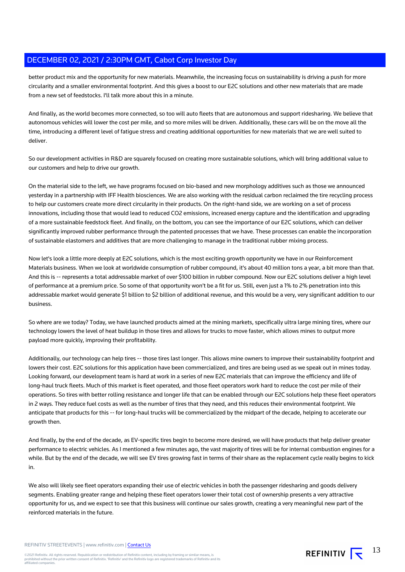better product mix and the opportunity for new materials. Meanwhile, the increasing focus on sustainability is driving a push for more circularity and a smaller environmental footprint. And this gives a boost to our E2C solutions and other new materials that are made from a new set of feedstocks. I'll talk more about this in a minute.

And finally, as the world becomes more connected, so too will auto fleets that are autonomous and support ridesharing. We believe that autonomous vehicles will lower the cost per mile, and so more miles will be driven. Additionally, these cars will be on the move all the time, introducing a different level of fatigue stress and creating additional opportunities for new materials that we are well suited to deliver.

So our development activities in R&D are squarely focused on creating more sustainable solutions, which will bring additional value to our customers and help to drive our growth.

On the material side to the left, we have programs focused on bio-based and new morphology additives such as those we announced yesterday in a partnership with IFF Health biosciences. We are also working with the residual carbon reclaimed the tire recycling process to help our customers create more direct circularity in their products. On the right-hand side, we are working on a set of process innovations, including those that would lead to reduced CO2 emissions, increased energy capture and the identification and upgrading of a more sustainable feedstock fleet. And finally, on the bottom, you can see the importance of our E2C solutions, which can deliver significantly improved rubber performance through the patented processes that we have. These processes can enable the incorporation of sustainable elastomers and additives that are more challenging to manage in the traditional rubber mixing process.

Now let's look a little more deeply at E2C solutions, which is the most exciting growth opportunity we have in our Reinforcement Materials business. When we look at worldwide consumption of rubber compound, it's about 40 million tons a year, a bit more than that. And this is -- represents a total addressable market of over \$100 billion in rubber compound. Now our E2C solutions deliver a high level of performance at a premium price. So some of that opportunity won't be a fit for us. Still, even just a 1% to 2% penetration into this addressable market would generate \$1 billion to \$2 billion of additional revenue, and this would be a very, very significant addition to our business.

So where are we today? Today, we have launched products aimed at the mining markets, specifically ultra large mining tires, where our technology lowers the level of heat buildup in those tires and allows for trucks to move faster, which allows mines to output more payload more quickly, improving their profitability.

Additionally, our technology can help tires -- those tires last longer. This allows mine owners to improve their sustainability footprint and lowers their cost. E2C solutions for this application have been commercialized, and tires are being used as we speak out in mines today. Looking forward, our development team is hard at work in a series of new E2C materials that can improve the efficiency and life of long-haul truck fleets. Much of this market is fleet operated, and those fleet operators work hard to reduce the cost per mile of their operations. So tires with better rolling resistance and longer life that can be enabled through our E2C solutions help these fleet operators in 2 ways. They reduce fuel costs as well as the number of tires that they need, and this reduces their environmental footprint. We anticipate that products for this -- for long-haul trucks will be commercialized by the midpart of the decade, helping to accelerate our growth then.

And finally, by the end of the decade, as EV-specific tires begin to become more desired, we will have products that help deliver greater performance to electric vehicles. As I mentioned a few minutes ago, the vast majority of tires will be for internal combustion engines for a while. But by the end of the decade, we will see EV tires growing fast in terms of their share as the replacement cycle really begins to kick in.

We also will likely see fleet operators expanding their use of electric vehicles in both the passenger ridesharing and goods delivery segments. Enabling greater range and helping these fleet operators lower their total cost of ownership presents a very attractive opportunity for us, and we expect to see that this business will continue our sales growth, creating a very meaningful new part of the reinforced materials in the future.

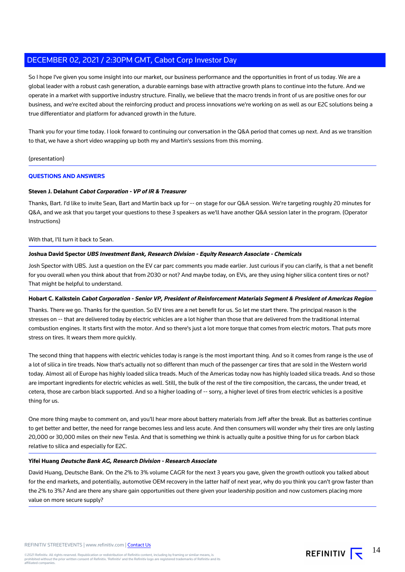So I hope I've given you some insight into our market, our business performance and the opportunities in front of us today. We are a global leader with a robust cash generation, a durable earnings base with attractive growth plans to continue into the future. And we operate in a market with supportive industry structure. Finally, we believe that the macro trends in front of us are positive ones for our business, and we're excited about the reinforcing product and process innovations we're working on as well as our E2C solutions being a true differentiator and platform for advanced growth in the future.

Thank you for your time today. I look forward to continuing our conversation in the Q&A period that comes up next. And as we transition to that, we have a short video wrapping up both my and Martin's sessions from this morning.

### (presentation)

### **QUESTIONS AND ANSWERS**

### **Steven J. Delahunt Cabot Corporation - VP of IR & Treasurer**

Thanks, Bart. I'd like to invite Sean, Bart and Martin back up for -- on stage for our Q&A session. We're targeting roughly 20 minutes for Q&A, and we ask that you target your questions to these 3 speakers as we'll have another Q&A session later in the program. (Operator Instructions)

#### With that, I'll turn it back to Sean.

### **Joshua David Spector UBS Investment Bank, Research Division - Equity Research Associate - Chemicals**

Josh Spector with UBS. Just a question on the EV car parc comments you made earlier. Just curious if you can clarify, is that a net benefit for you overall when you think about that from 2030 or not? And maybe today, on EVs, are they using higher silica content tires or not? That might be helpful to understand.

#### **Hobart C. Kalkstein Cabot Corporation - Senior VP, President of Reinforcement Materials Segment & President of Americas Region**

Thanks. There we go. Thanks for the question. So EV tires are a net benefit for us. So let me start there. The principal reason is the stresses on -- that are delivered today by electric vehicles are a lot higher than those that are delivered from the traditional internal combustion engines. It starts first with the motor. And so there's just a lot more torque that comes from electric motors. That puts more stress on tires. It wears them more quickly.

The second thing that happens with electric vehicles today is range is the most important thing. And so it comes from range is the use of a lot of silica in tire treads. Now that's actually not so different than much of the passenger car tires that are sold in the Western world today. Almost all of Europe has highly loaded silica treads. Much of the Americas today now has highly loaded silica treads. And so those are important ingredients for electric vehicles as well. Still, the bulk of the rest of the tire composition, the carcass, the under tread, et cetera, those are carbon black supported. And so a higher loading of -- sorry, a higher level of tires from electric vehicles is a positive thing for us.

One more thing maybe to comment on, and you'll hear more about battery materials from Jeff after the break. But as batteries continue to get better and better, the need for range becomes less and less acute. And then consumers will wonder why their tires are only lasting 20,000 or 30,000 miles on their new Tesla. And that is something we think is actually quite a positive thing for us for carbon black relative to silica and especially for E2C.

#### **Yifei Huang Deutsche Bank AG, Research Division - Research Associate**

David Huang, Deutsche Bank. On the 2% to 3% volume CAGR for the next 3 years you gave, given the growth outlook you talked about for the end markets, and potentially, automotive OEM recovery in the latter half of next year, why do you think you can't grow faster than the 2% to 3%? And are there any share gain opportunities out there given your leadership position and now customers placing more value on more secure supply?

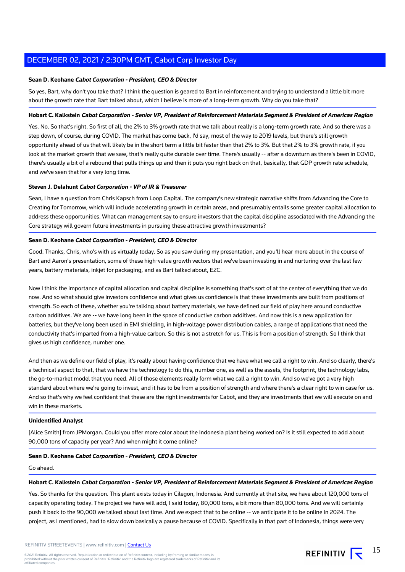### **Sean D. Keohane Cabot Corporation - President, CEO & Director**

So yes, Bart, why don't you take that? I think the question is geared to Bart in reinforcement and trying to understand a little bit more about the growth rate that Bart talked about, which I believe is more of a long-term growth. Why do you take that?

### **Hobart C. Kalkstein Cabot Corporation - Senior VP, President of Reinforcement Materials Segment & President of Americas Region**

Yes. No. So that's right. So first of all, the 2% to 3% growth rate that we talk about really is a long-term growth rate. And so there was a step down, of course, during COVID. The market has come back, I'd say, most of the way to 2019 levels, but there's still growth opportunity ahead of us that will likely be in the short term a little bit faster than that 2% to 3%. But that 2% to 3% growth rate, if you look at the market growth that we saw, that's really quite durable over time. There's usually -- after a downturn as there's been in COVID. there's usually a bit of a rebound that pulls things up and then it puts you right back on that, basically, that GDP growth rate schedule, and we've seen that for a very long time.

### **Steven J. Delahunt Cabot Corporation - VP of IR & Treasurer**

Sean, I have a question from Chris Kapsch from Loop Capital. The company's new strategic narrative shifts from Advancing the Core to Creating for Tomorrow, which will include accelerating growth in certain areas, and presumably entails some greater capital allocation to address these opportunities. What can management say to ensure investors that the capital discipline associated with the Advancing the Core strategy will govern future investments in pursuing these attractive growth investments?

### **Sean D. Keohane Cabot Corporation - President, CEO & Director**

Good. Thanks, Chris, who's with us virtually today. So as you saw during my presentation, and you'll hear more about in the course of Bart and Aaron's presentation, some of these high-value growth vectors that we've been investing in and nurturing over the last few years, battery materials, inkjet for packaging, and as Bart talked about, E2C.

Now I think the importance of capital allocation and capital discipline is something that's sort of at the center of everything that we do now. And so what should give investors confidence and what gives us confidence is that these investments are built from positions of strength. So each of these, whether you're talking about battery materials, we have defined our field of play here around conductive carbon additives. We are -- we have long been in the space of conductive carbon additives. And now this is a new application for batteries, but they've long been used in EMI shielding, in high-voltage power distribution cables, a range of applications that need the conductivity that's imparted from a high-value carbon. So this is not a stretch for us. This is from a position of strength. So I think that gives us high confidence, number one.

And then as we define our field of play, it's really about having confidence that we have what we call a right to win. And so clearly, there's a technical aspect to that, that we have the technology to do this, number one, as well as the assets, the footprint, the technology labs, the go-to-market model that you need. All of those elements really form what we call a right to win. And so we've got a very high standard about where we're going to invest, and it has to be from a position of strength and where there's a clear right to win case for us. And so that's why we feel confident that these are the right investments for Cabot, and they are investments that we will execute on and win in these markets.

#### **Unidentified Analyst**

[Alice Smith] from JPMorgan. Could you offer more color about the Indonesia plant being worked on? Is it still expected to add about 90,000 tons of capacity per year? And when might it come online?

### **Sean D. Keohane Cabot Corporation - President, CEO & Director**

#### Go ahead.

#### **Hobart C. Kalkstein Cabot Corporation - Senior VP, President of Reinforcement Materials Segment & President of Americas Region**

Yes. So thanks for the question. This plant exists today in Cilegon, Indonesia. And currently at that site, we have about 120,000 tons of capacity operating today. The project we have will add, I said today, 80,000 tons, a bit more than 80,000 tons. And we will certainly push it back to the 90,000 we talked about last time. And we expect that to be online -- we anticipate it to be online in 2024. The project, as I mentioned, had to slow down basically a pause because of COVID. Specifically in that part of Indonesia, things were very

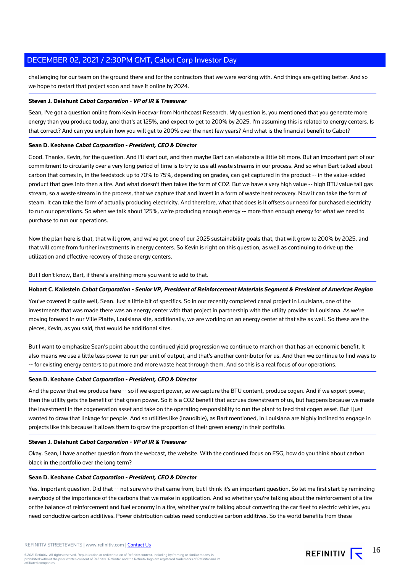challenging for our team on the ground there and for the contractors that we were working with. And things are getting better. And so we hope to restart that project soon and have it online by 2024.

### **Steven J. Delahunt Cabot Corporation - VP of IR & Treasurer**

Sean, I've got a question online from Kevin Hocevar from Northcoast Research. My question is, you mentioned that you generate more energy than you produce today, and that's at 125%, and expect to get to 200% by 2025. I'm assuming this is related to energy centers. Is that correct? And can you explain how you will get to 200% over the next few years? And what is the financial benefit to Cabot?

### **Sean D. Keohane Cabot Corporation - President, CEO & Director**

Good. Thanks, Kevin, for the question. And I'll start out, and then maybe Bart can elaborate a little bit more. But an important part of our commitment to circularity over a very long period of time is to try to use all waste streams in our process. And so when Bart talked about carbon that comes in, in the feedstock up to 70% to 75%, depending on grades, can get captured in the product -- in the value-added product that goes into then a tire. And what doesn't then takes the form of CO2. But we have a very high value -- high BTU value tail gas stream, so a waste stream in the process, that we capture that and invest in a form of waste heat recovery. Now it can take the form of steam. It can take the form of actually producing electricity. And therefore, what that does is it offsets our need for purchased electricity to run our operations. So when we talk about 125%, we're producing enough energy -- more than enough energy for what we need to purchase to run our operations.

Now the plan here is that, that will grow, and we've got one of our 2025 sustainability goals that, that will grow to 200% by 2025, and that will come from further investments in energy centers. So Kevin is right on this question, as well as continuing to drive up the utilization and effective recovery of those energy centers.

But I don't know, Bart, if there's anything more you want to add to that.

### **Hobart C. Kalkstein Cabot Corporation - Senior VP, President of Reinforcement Materials Segment & President of Americas Region**

You've covered it quite well, Sean. Just a little bit of specifics. So in our recently completed canal project in Louisiana, one of the investments that was made there was an energy center with that project in partnership with the utility provider in Louisiana. As we're moving forward in our Ville Platte, Louisiana site, additionally, we are working on an energy center at that site as well. So these are the pieces, Kevin, as you said, that would be additional sites.

But I want to emphasize Sean's point about the continued yield progression we continue to march on that has an economic benefit. It also means we use a little less power to run per unit of output, and that's another contributor for us. And then we continue to find ways to -- for existing energy centers to put more and more waste heat through them. And so this is a real focus of our operations.

### **Sean D. Keohane Cabot Corporation - President, CEO & Director**

And the power that we produce here -- so if we export power, so we capture the BTU content, produce cogen. And if we export power, then the utility gets the benefit of that green power. So it is a CO2 benefit that accrues downstream of us, but happens because we made the investment in the cogeneration asset and take on the operating responsibility to run the plant to feed that cogen asset. But I just wanted to draw that linkage for people. And so utilities like (inaudible), as Bart mentioned, in Louisiana are highly inclined to engage in projects like this because it allows them to grow the proportion of their green energy in their portfolio.

### **Steven J. Delahunt Cabot Corporation - VP of IR & Treasurer**

Okay. Sean, I have another question from the webcast, the website. With the continued focus on ESG, how do you think about carbon black in the portfolio over the long term?

### **Sean D. Keohane Cabot Corporation - President, CEO & Director**

Yes. Important question. Did that -- not sure who that came from, but I think it's an important question. So let me first start by reminding everybody of the importance of the carbons that we make in application. And so whether you're talking about the reinforcement of a tire or the balance of reinforcement and fuel economy in a tire, whether you're talking about converting the car fleet to electric vehicles, you need conductive carbon additives. Power distribution cables need conductive carbon additives. So the world benefits from these

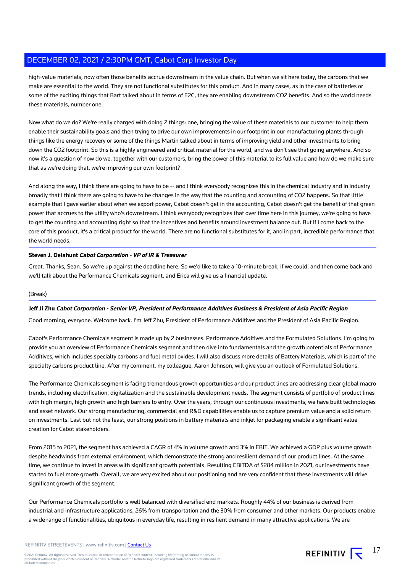high-value materials, now often those benefits accrue downstream in the value chain. But when we sit here today, the carbons that we make are essential to the world. They are not functional substitutes for this product. And in many cases, as in the case of batteries or some of the exciting things that Bart talked about in terms of E2C, they are enabling downstream CO2 benefits. And so the world needs these materials, number one.

Now what do we do? We're really charged with doing 2 things: one, bringing the value of these materials to our customer to help them enable their sustainability goals and then trying to drive our own improvements in our footprint in our manufacturing plants through things like the energy recovery or some of the things Martin talked about in terms of improving yield and other investments to bring down the CO2 footprint. So this is a highly engineered and critical material for the world, and we don't see that going anywhere. And so now it's a question of how do we, together with our customers, bring the power of this material to its full value and how do we make sure that as we're doing that, we're improving our own footprint?

And along the way, I think there are going to have to be -- and I think everybody recognizes this in the chemical industry and in industry broadly that I think there are going to have to be changes in the way that the counting and accounting of CO2 happens. So that little example that I gave earlier about when we export power, Cabot doesn't get in the accounting, Cabot doesn't get the benefit of that green power that accrues to the utility who's downstream. I think everybody recognizes that over time here in this journey, we're going to have to get the counting and accounting right so that the incentives and benefits around investment balance out. But if I come back to the core of this product, it's a critical product for the world. There are no functional substitutes for it, and in part, incredible performance that the world needs.

### **Steven J. Delahunt Cabot Corporation - VP of IR & Treasurer**

Great. Thanks, Sean. So we're up against the deadline here. So we'd like to take a 10-minute break, if we could, and then come back and we'll talk about the Performance Chemicals segment, and Erica will give us a financial update.

### (Break)

### **Jeff Ji Zhu Cabot Corporation - Senior VP, President of Performance Additives Business & President of Asia Pacific Region**

Good morning, everyone. Welcome back. I'm Jeff Zhu, President of Performance Additives and the President of Asia Pacific Region.

Cabot's Performance Chemicals segment is made up by 2 businesses: Performance Additives and the Formulated Solutions. I'm going to provide you an overview of Performance Chemicals segment and then dive into fundamentals and the growth potentials of Performance Additives, which includes specialty carbons and fuel metal oxides. I will also discuss more details of Battery Materials, which is part of the specialty carbons product line. After my comment, my colleague, Aaron Johnson, will give you an outlook of Formulated Solutions.

The Performance Chemicals segment is facing tremendous growth opportunities and our product lines are addressing clear global macro trends, including electrification, digitalization and the sustainable development needs. The segment consists of portfolio of product lines with high margin, high growth and high barriers to entry. Over the years, through our continuous investments, we have built technologies and asset network. Our strong manufacturing, commercial and R&D capabilities enable us to capture premium value and a solid return on investments. Last but not the least, our strong positions in battery materials and inkjet for packaging enable a significant value creation for Cabot stakeholders.

From 2015 to 2021, the segment has achieved a CAGR of 4% in volume growth and 3% in EBIT. We achieved a GDP plus volume growth despite headwinds from external environment, which demonstrate the strong and resilient demand of our product lines. At the same time, we continue to invest in areas with significant growth potentials. Resulting EBITDA of \$284 million in 2021, our investments have started to fuel more growth. Overall, we are very excited about our positioning and are very confident that these investments will drive significant growth of the segment.

Our Performance Chemicals portfolio is well balanced with diversified end markets. Roughly 44% of our business is derived from industrial and infrastructure applications, 26% from transportation and the 30% from consumer and other markets. Our products enable a wide range of functionalities, ubiquitous in everyday life, resulting in resilient demand in many attractive applications. We are

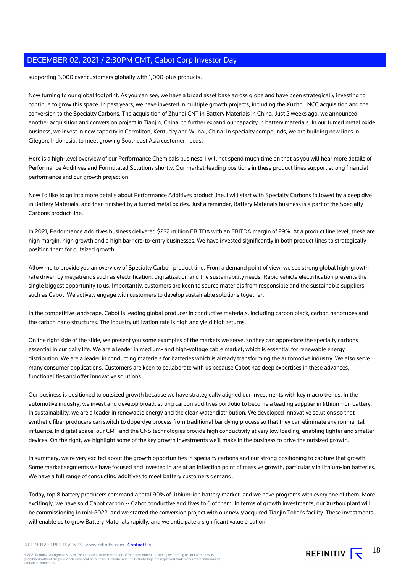supporting 3,000 over customers globally with 1,000-plus products.

Now turning to our global footprint. As you can see, we have a broad asset base across globe and have been strategically investing to continue to grow this space. In past years, we have invested in multiple growth projects, including the Xuzhou NCC acquisition and the conversion to the Specialty Carbons. The acquisition of Zhuhai CNT in Battery Materials in China. Just 2 weeks ago, we announced another acquisition and conversion project in Tianjin, China, to further expand our capacity in battery materials. In our fumed metal oxide business, we invest in new capacity in Carrollton, Kentucky and Wuhai, China. In specialty compounds, we are building new lines in Cilegon, Indonesia, to meet growing Southeast Asia customer needs.

Here is a high-level overview of our Performance Chemicals business. I will not spend much time on that as you will hear more details of Performance Additives and Formulated Solutions shortly. Our market-leading positions in these product lines support strong financial performance and our growth projection.

Now I'd like to go into more details about Performance Additives product line. I will start with Specialty Carbons followed by a deep dive in Battery Materials, and then finished by a fumed metal oxides. Just a reminder, Battery Materials business is a part of the Specialty Carbons product line.

In 2021, Performance Additives business delivered \$232 million EBITDA with an EBITDA margin of 29%. At a product line level, these are high margin, high growth and a high barriers-to-entry businesses. We have invested significantly in both product lines to strategically position them for outsized growth.

Allow me to provide you an overview of Specialty Carbon product line. From a demand point of view, we see strong global high-growth rate driven by megatrends such as electrification, digitalization and the sustainability needs. Rapid vehicle electrification presents the single biggest opportunity to us. Importantly, customers are keen to source materials from responsible and the sustainable suppliers, such as Cabot. We actively engage with customers to develop sustainable solutions together.

In the competitive landscape, Cabot is leading global producer in conductive materials, including carbon black, carbon nanotubes and the carbon nano structures. The industry utilization rate is high and yield high returns.

On the right side of the slide, we present you some examples of the markets we serve, so they can appreciate the specialty carbons essential in our daily life. We are a leader in medium- and high-voltage cable market, which is essential for renewable energy distribution. We are a leader in conducting materials for batteries which is already transforming the automotive industry. We also serve many consumer applications. Customers are keen to collaborate with us because Cabot has deep expertises in these advances, functionalities and offer innovative solutions.

Our business is positioned to outsized growth because we have strategically aligned our investments with key macro trends. In the automotive industry, we invest and develop broad, strong carbon additives portfolio to become a leading supplier in lithium-ion battery. In sustainability, we are a leader in renewable energy and the clean water distribution. We developed innovative solutions so that synthetic fiber producers can switch to dope-dye process from traditional bar dying process so that they can eliminate environmental influence. In digital space, our CMT and the CNS technologies provide high conductivity at very low loading, enabling lighter and smaller devices. On the right, we highlight some of the key growth investments we'll make in the business to drive the outsized growth.

In summary, we're very excited about the growth opportunities in specialty carbons and our strong positioning to capture that growth. Some market segments we have focused and invested in are at an inflection point of massive growth, particularly in lithium-ion batteries. We have a full range of conducting additives to meet battery customers demand.

Today, top 8 battery producers command a total 90% of lithium-ion battery market, and we have programs with every one of them. More excitingly, we have sold Cabot carbon -- Cabot conductive additives to 6 of them. In terms of growth investments, our Xuzhou plant will be commissioning in mid-2022, and we started the conversion project with our newly acquired Tianjin Tokai's facility. These investments will enable us to grow Battery Materials rapidly, and we anticipate a significant value creation.

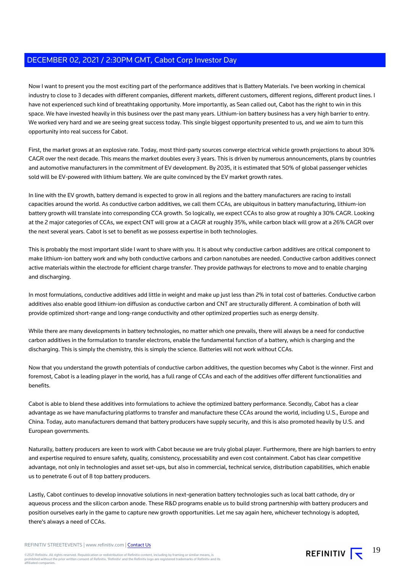Now I want to present you the most exciting part of the performance additives that is Battery Materials. I've been working in chemical industry to close to 3 decades with different companies, different markets, different customers, different regions, different product lines. I have not experienced such kind of breathtaking opportunity. More importantly, as Sean called out, Cabot has the right to win in this space. We have invested heavily in this business over the past many years. Lithium-ion battery business has a very high barrier to entry. We worked very hard and we are seeing great success today. This single biggest opportunity presented to us, and we aim to turn this opportunity into real success for Cabot.

First, the market grows at an explosive rate. Today, most third-party sources converge electrical vehicle growth projections to about 30% CAGR over the next decade. This means the market doubles every 3 years. This is driven by numerous announcements, plans by countries and automotive manufacturers in the commitment of EV development. By 2035, it is estimated that 50% of global passenger vehicles sold will be EV-powered with lithium battery. We are quite convinced by the EV market growth rates.

In line with the EV growth, battery demand is expected to grow in all regions and the battery manufacturers are racing to install capacities around the world. As conductive carbon additives, we call them CCAs, are ubiquitous in battery manufacturing, lithium-ion battery growth will translate into corresponding CCA growth. So logically, we expect CCAs to also grow at roughly a 30% CAGR. Looking at the 2 major categories of CCAs, we expect CNT will grow at a CAGR at roughly 35%, while carbon black will grow at a 26% CAGR over the next several years. Cabot is set to benefit as we possess expertise in both technologies.

This is probably the most important slide I want to share with you. It is about why conductive carbon additives are critical component to make lithium-ion battery work and why both conductive carbons and carbon nanotubes are needed. Conductive carbon additives connect active materials within the electrode for efficient charge transfer. They provide pathways for electrons to move and to enable charging and discharging.

In most formulations, conductive additives add little in weight and make up just less than 2% in total cost of batteries. Conductive carbon additives also enable good lithium-ion diffusion as conductive carbon and CNT are structurally different. A combination of both will provide optimized short-range and long-range conductivity and other optimized properties such as energy density.

While there are many developments in battery technologies, no matter which one prevails, there will always be a need for conductive carbon additives in the formulation to transfer electrons, enable the fundamental function of a battery, which is charging and the discharging. This is simply the chemistry, this is simply the science. Batteries will not work without CCAs.

Now that you understand the growth potentials of conductive carbon additives, the question becomes why Cabot is the winner. First and foremost, Cabot is a leading player in the world, has a full range of CCAs and each of the additives offer different functionalities and benefits.

Cabot is able to blend these additives into formulations to achieve the optimized battery performance. Secondly, Cabot has a clear advantage as we have manufacturing platforms to transfer and manufacture these CCAs around the world, including U.S., Europe and China. Today, auto manufacturers demand that battery producers have supply security, and this is also promoted heavily by U.S. and European governments.

Naturally, battery producers are keen to work with Cabot because we are truly global player. Furthermore, there are high barriers to entry and expertise required to ensure safety, quality, consistency, processability and even cost containment. Cabot has clear competitive advantage, not only in technologies and asset set-ups, but also in commercial, technical service, distribution capabilities, which enable us to penetrate 6 out of 8 top battery producers.

Lastly, Cabot continues to develop innovative solutions in next-generation battery technologies such as local batt cathode, dry or aqueous process and the silicon carbon anode. These R&D programs enable us to build strong partnership with battery producers and position ourselves early in the game to capture new growth opportunities. Let me say again here, whichever technology is adopted, there's always a need of CCAs.

REFINITIV STREETEVENTS | www.refinitiv.com | [Contact Us](https://www.refinitiv.com/en/contact-us)

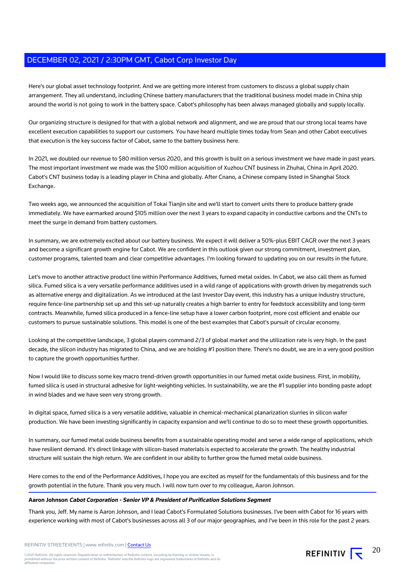Here's our global asset technology footprint. And we are getting more interest from customers to discuss a global supply chain arrangement. They all understand, including Chinese battery manufacturers that the traditional business model made in China ship around the world is not going to work in the battery space. Cabot's philosophy has been always managed globally and supply locally.

Our organizing structure is designed for that with a global network and alignment, and we are proud that our strong local teams have excellent execution capabilities to support our customers. You have heard multiple times today from Sean and other Cabot executives that execution is the key success factor of Cabot, same to the battery business here.

In 2021, we doubled our revenue to \$80 million versus 2020, and this growth is built on a serious investment we have made in past years. The most important investment we made was the \$100 million acquisition of Xuzhou CNT business in Zhuhai, China in April 2020. Cabot's CNT business today is a leading player in China and globally. After Cnano, a Chinese company listed in Shanghai Stock Exchange.

Two weeks ago, we announced the acquisition of Tokai Tianjin site and we'll start to convert units there to produce battery grade immediately. We have earmarked around \$105 million over the next 3 years to expand capacity in conductive carbons and the CNTs to meet the surge in demand from battery customers.

In summary, we are extremely excited about our battery business. We expect it will deliver a 50%-plus EBIT CAGR over the next 3 years and become a significant growth engine for Cabot. We are confident in this outlook given our strong commitment, investment plan, customer programs, talented team and clear competitive advantages. I'm looking forward to updating you on our results in the future.

Let's move to another attractive product line within Performance Additives, fumed metal oxides. In Cabot, we also call them as fumed silica. Fumed silica is a very versatile performance additives used in a wild range of applications with growth driven by megatrends such as alternative energy and digitalization. As we introduced at the last Investor Day event, this industry has a unique industry structure, require fence-line partnership set up and this set-up naturally creates a high barrier to entry for feedstock accessibility and long-term contracts. Meanwhile, fumed silica produced in a fence-line setup have a lower carbon footprint, more cost efficient and enable our customers to pursue sustainable solutions. This model is one of the best examples that Cabot's pursuit of circular economy.

Looking at the competitive landscape, 3 global players command 2/3 of global market and the utilization rate is very high. In the past decade, the silicon industry has migrated to China, and we are holding #1 position there. There's no doubt, we are in a very good position to capture the growth opportunities further.

Now I would like to discuss some key macro trend-driven growth opportunities in our fumed metal oxide business. First, in mobility, fumed silica is used in structural adhesive for light-weighting vehicles. In sustainability, we are the #1 supplier into bonding paste adopt in wind blades and we have seen very strong growth.

In digital space, fumed silica is a very versatile additive, valuable in chemical-mechanical planarization slurries in silicon wafer production. We have been investing significantly in capacity expansion and we'll continue to do so to meet these growth opportunities.

In summary, our fumed metal oxide business benefits from a sustainable operating model and serve a wide range of applications, which have resilient demand. It's direct linkage with silicon-based materials is expected to accelerate the growth. The healthy industrial structure will sustain the high return. We are confident in our ability to further grow the fumed metal oxide business.

Here comes to the end of the Performance Additives, I hope you are excited as myself for the fundamentals of this business and for the growth potential in the future. Thank you very much. I will now turn over to my colleague, Aaron Johnson.

#### **Aaron Johnson Cabot Corporation - Senior VP & President of Purification Solutions Segment**

Thank you, Jeff. My name is Aaron Johnson, and I lead Cabot's Formulated Solutions businesses. I've been with Cabot for 16 years with experience working with most of Cabot's businesses across all 3 of our major geographies, and I've been in this role for the past 2 years.

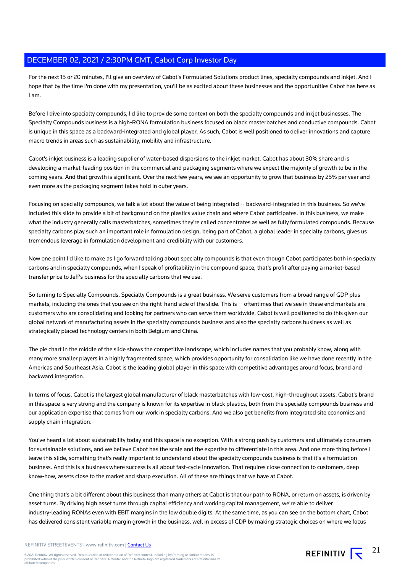For the next 15 or 20 minutes, I'll give an overview of Cabot's Formulated Solutions product lines, specialty compounds and inkjet. And I hope that by the time I'm done with my presentation, you'll be as excited about these businesses and the opportunities Cabot has here as I am.

Before I dive into specialty compounds, I'd like to provide some context on both the specialty compounds and inkjet businesses. The Specialty Compounds business is a high-RONA formulation business focused on black masterbatches and conductive compounds. Cabot is unique in this space as a backward-integrated and global player. As such, Cabot is well positioned to deliver innovations and capture macro trends in areas such as sustainability, mobility and infrastructure.

Cabot's inkjet business is a leading supplier of water-based dispersions to the inkjet market. Cabot has about 30% share and is developing a market-leading position in the commercial and packaging segments where we expect the majority of growth to be in the coming years. And that growth is significant. Over the next few years, we see an opportunity to grow that business by 25% per year and even more as the packaging segment takes hold in outer years.

Focusing on specialty compounds, we talk a lot about the value of being integrated -- backward-integrated in this business. So we've included this slide to provide a bit of background on the plastics value chain and where Cabot participates. In this business, we make what the industry generally calls masterbatches, sometimes they're called concentrates as well as fully formulated compounds. Because specialty carbons play such an important role in formulation design, being part of Cabot, a global leader in specialty carbons, gives us tremendous leverage in formulation development and credibility with our customers.

Now one point I'd like to make as I go forward talking about specialty compounds is that even though Cabot participates both in specialty carbons and in specialty compounds, when I speak of profitability in the compound space, that's profit after paying a market-based transfer price to Jeff's business for the specialty carbons that we use.

So turning to Specialty Compounds. Specialty Compounds is a great business. We serve customers from a broad range of GDP plus markets, including the ones that you see on the right-hand side of the slide. This is -- oftentimes that we see in these end markets are customers who are consolidating and looking for partners who can serve them worldwide. Cabot is well positioned to do this given our global network of manufacturing assets in the specialty compounds business and also the specialty carbons business as well as strategically placed technology centers in both Belgium and China.

The pie chart in the middle of the slide shows the competitive landscape, which includes names that you probably know, along with many more smaller players in a highly fragmented space, which provides opportunity for consolidation like we have done recently in the Americas and Southeast Asia. Cabot is the leading global player in this space with competitive advantages around focus, brand and backward integration.

In terms of focus, Cabot is the largest global manufacturer of black masterbatches with low-cost, high-throughput assets. Cabot's brand in this space is very strong and the company is known for its expertise in black plastics, both from the specialty compounds business and our application expertise that comes from our work in specialty carbons. And we also get benefits from integrated site economics and supply chain integration.

You've heard a lot about sustainability today and this space is no exception. With a strong push by customers and ultimately consumers for sustainable solutions, and we believe Cabot has the scale and the expertise to differentiate in this area. And one more thing before I leave this slide, something that's really important to understand about the specialty compounds business is that it's a formulation business. And this is a business where success is all about fast-cycle innovation. That requires close connection to customers, deep know-how, assets close to the market and sharp execution. All of these are things that we have at Cabot.

One thing that's a bit different about this business than many others at Cabot is that our path to RONA, or return on assets, is driven by asset turns. By driving high asset turns through capital efficiency and working capital management, we're able to deliver industry-leading RONAs even with EBIT margins in the low double digits. At the same time, as you can see on the bottom chart, Cabot has delivered consistent variable margin growth in the business, well in excess of GDP by making strategic choices on where we focus

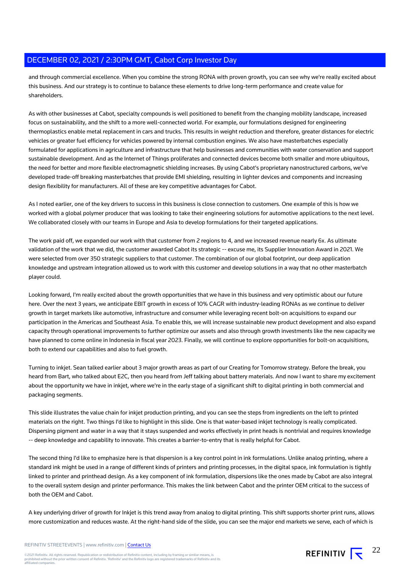and through commercial excellence. When you combine the strong RONA with proven growth, you can see why we're really excited about this business. And our strategy is to continue to balance these elements to drive long-term performance and create value for shareholders.

As with other businesses at Cabot, specialty compounds is well positioned to benefit from the changing mobility landscape, increased focus on sustainability, and the shift to a more well-connected world. For example, our formulations designed for engineering thermoplastics enable metal replacement in cars and trucks. This results in weight reduction and therefore, greater distances for electric vehicles or greater fuel efficiency for vehicles powered by internal combustion engines. We also have masterbatches especially formulated for applications in agriculture and infrastructure that help businesses and communities with water conservation and support sustainable development. And as the Internet of Things proliferates and connected devices become both smaller and more ubiquitous, the need for better and more flexible electromagnetic shielding increases. By using Cabot's proprietary nanostructured carbons, we've developed trade-off breaking masterbatches that provide EMI shielding, resulting in lighter devices and components and increasing design flexibility for manufacturers. All of these are key competitive advantages for Cabot.

As I noted earlier, one of the key drivers to success in this business is close connection to customers. One example of this is how we worked with a global polymer producer that was looking to take their engineering solutions for automotive applications to the next level. We collaborated closely with our teams in Europe and Asia to develop formulations for their targeted applications.

The work paid off, we expanded our work with that customer from 2 regions to 4, and we increased revenue nearly 6x. As ultimate validation of the work that we did, the customer awarded Cabot its strategic -- excuse me, its Supplier Innovation Award in 2021. We were selected from over 350 strategic suppliers to that customer. The combination of our global footprint, our deep application knowledge and upstream integration allowed us to work with this customer and develop solutions in a way that no other masterbatch player could.

Looking forward, I'm really excited about the growth opportunities that we have in this business and very optimistic about our future here. Over the next 3 years, we anticipate EBIT growth in excess of 10% CAGR with industry-leading RONAs as we continue to deliver growth in target markets like automotive, infrastructure and consumer while leveraging recent bolt-on acquisitions to expand our participation in the Americas and Southeast Asia. To enable this, we will increase sustainable new product development and also expand capacity through operational improvements to further optimize our assets and also through growth investments like the new capacity we have planned to come online in Indonesia in fiscal year 2023. Finally, we will continue to explore opportunities for bolt-on acquisitions, both to extend our capabilities and also to fuel growth.

Turning to inkjet. Sean talked earlier about 3 major growth areas as part of our Creating for Tomorrow strategy. Before the break, you heard from Bart, who talked about E2C, then you heard from Jeff talking about battery materials. And now I want to share my excitement about the opportunity we have in inkjet, where we're in the early stage of a significant shift to digital printing in both commercial and packaging segments.

This slide illustrates the value chain for inkjet production printing, and you can see the steps from ingredients on the left to printed materials on the right. Two things I'd like to highlight in this slide. One is that water-based inkjet technology is really complicated. Dispersing pigment and water in a way that it stays suspended and works effectively in print heads is nontrivial and requires knowledge -- deep knowledge and capability to innovate. This creates a barrier-to-entry that is really helpful for Cabot.

The second thing I'd like to emphasize here is that dispersion is a key control point in ink formulations. Unlike analog printing, where a standard ink might be used in a range of different kinds of printers and printing processes, in the digital space, ink formulation is tightly linked to printer and printhead design. As a key component of ink formulation, dispersions like the ones made by Cabot are also integral to the overall system design and printer performance. This makes the link between Cabot and the printer OEM critical to the success of both the OEM and Cabot.

A key underlying driver of growth for Inkjet is this trend away from analog to digital printing. This shift supports shorter print runs, allows more customization and reduces waste. At the right-hand side of the slide, you can see the major end markets we serve, each of which is

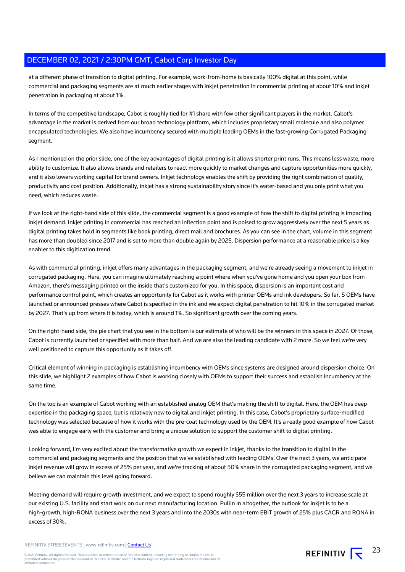at a different phase of transition to digital printing. For example, work-from-home is basically 100% digital at this point, while commercial and packaging segments are at much earlier stages with inkjet penetration in commercial printing at about 10% and inkjet penetration in packaging at about 1%.

In terms of the competitive landscape, Cabot is roughly tied for #1 share with few other significant players in the market. Cabot's advantage in the market is derived from our broad technology platform, which includes proprietary small molecule and also polymer encapsulated technologies. We also have incumbency secured with multiple leading OEMs in the fast-growing Corrugated Packaging segment.

As I mentioned on the prior slide, one of the key advantages of digital printing is it allows shorter print runs. This means less waste, more ability to customize. It also allows brands and retailers to react more quickly to market changes and capture opportunities more quickly, and it also lowers working capital for brand owners. Inkjet technology enables the shift by providing the right combination of quality, productivity and cost position. Additionally, inkjet has a strong sustainability story since it's water-based and you only print what you need, which reduces waste.

If we look at the right-hand side of this slide, the commercial segment is a good example of how the shift to digital printing is impacting inkjet demand. Inkjet printing in commercial has reached an inflection point and is poised to grow aggressively over the next 5 years as digital printing takes hold in segments like book printing, direct mail and brochures. As you can see in the chart, volume in this segment has more than doubled since 2017 and is set to more than double again by 2025. Dispersion performance at a reasonable price is a key enabler to this digitization trend.

As with commercial printing, inkjet offers many advantages in the packaging segment, and we're already seeing a movement to inkjet in corrugated packaging. Here, you can imagine ultimately reaching a point where when you've gone home and you open your box from Amazon, there's messaging printed on the inside that's customized for you. In this space, dispersion is an important cost and performance control point, which creates an opportunity for Cabot as it works with printer OEMs and ink developers. So far, 5 OEMs have launched or announced presses where Cabot is specified in the ink and we expect digital penetration to hit 10% in the corrugated market by 2027. That's up from where it is today, which is around 1%. So significant growth over the coming years.

On the right-hand side, the pie chart that you see in the bottom is our estimate of who will be the winners in this space in 2027. Of those, Cabot is currently launched or specified with more than half. And we are also the leading candidate with 2 more. So we feel we're very well positioned to capture this opportunity as it takes off.

Critical element of winning in packaging is establishing incumbency with OEMs since systems are designed around dispersion choice. On this slide, we highlight 2 examples of how Cabot is working closely with OEMs to support their success and establish incumbency at the same time.

On the top is an example of Cabot working with an established analog OEM that's making the shift to digital. Here, the OEM has deep expertise in the packaging space, but is relatively new to digital and inkjet printing. In this case, Cabot's proprietary surface-modified technology was selected because of how it works with the pre-coat technology used by the OEM. It's a really good example of how Cabot was able to engage early with the customer and bring a unique solution to support the customer shift to digital printing.

Looking forward, I'm very excited about the transformative growth we expect in inkjet, thanks to the transition to digital in the commercial and packaging segments and the position that we've established with leading OEMs. Over the next 3 years, we anticipate inkjet revenue will grow in excess of 25% per year, and we're tracking at about 50% share in the corrugated packaging segment, and we believe we can maintain this level going forward.

Meeting demand will require growth investment, and we expect to spend roughly \$55 million over the next 3 years to increase scale at our existing U.S. facility and start work on our next manufacturing location. Pullin in altogether, the outlook for inkjet is to be a high-growth, high-RONA business over the next 3 years and into the 2030s with near-term EBIT growth of 25% plus CAGR and RONA in excess of 30%.

REFINITIV  $\overline{\mathbf{x}}^{23}$ 

REFINITIV STREETEVENTS | www.refinitiv.com | [Contact Us](https://www.refinitiv.com/en/contact-us)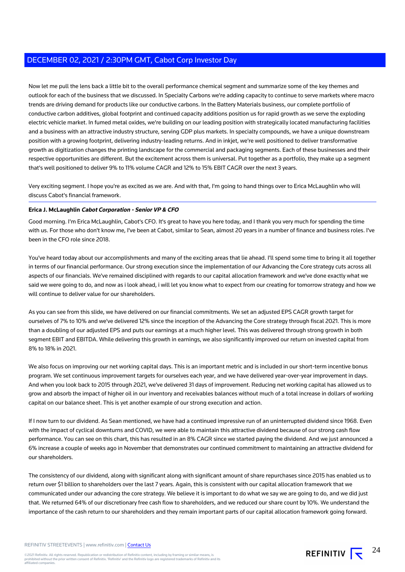Now let me pull the lens back a little bit to the overall performance chemical segment and summarize some of the key themes and outlook for each of the business that we discussed. In Specialty Carbons we're adding capacity to continue to serve markets where macro trends are driving demand for products like our conductive carbons. In the Battery Materials business, our complete portfolio of conductive carbon additives, global footprint and continued capacity additions position us for rapid growth as we serve the exploding electric vehicle market. In fumed metal oxides, we're building on our leading position with strategically located manufacturing facilities and a business with an attractive industry structure, serving GDP plus markets. In specialty compounds, we have a unique downstream position with a growing footprint, delivering industry-leading returns. And in inkjet, we're well positioned to deliver transformative growth as digitization changes the printing landscape for the commercial and packaging segments. Each of these businesses and their respective opportunities are different. But the excitement across them is universal. Put together as a portfolio, they make up a segment that's well positioned to deliver 9% to 11% volume CAGR and 12% to 15% EBIT CAGR over the next 3 years.

Very exciting segment. I hope you're as excited as we are. And with that, I'm going to hand things over to Erica McLaughlin who will discuss Cabot's financial framework.

### **Erica J. McLaughlin Cabot Corporation - Senior VP & CFO**

Good morning. I'm Erica McLaughlin, Cabot's CFO. It's great to have you here today, and I thank you very much for spending the time with us. For those who don't know me, I've been at Cabot, similar to Sean, almost 20 years in a number of finance and business roles. I've been in the CFO role since 2018.

You've heard today about our accomplishments and many of the exciting areas that lie ahead. I'll spend some time to bring it all together in terms of our financial performance. Our strong execution since the implementation of our Advancing the Core strategy cuts across all aspects of our financials. We've remained disciplined with regards to our capital allocation framework and we've done exactly what we said we were going to do, and now as i look ahead, i will let you know what to expect from our creating for tomorrow strategy and how we will continue to deliver value for our shareholders.

As you can see from this slide, we have delivered on our financial commitments. We set an adjusted EPS CAGR growth target for ourselves of 7% to 10% and we've delivered 12% since the inception of the Advancing the Core strategy through fiscal 2021. This is more than a doubling of our adjusted EPS and puts our earnings at a much higher level. This was delivered through strong growth in both segment EBIT and EBITDA. While delivering this growth in earnings, we also significantly improved our return on invested capital from 8% to 18% in 2021.

We also focus on improving our net working capital days. This is an important metric and is included in our short-term incentive bonus program. We set continuous improvement targets for ourselves each year, and we have delivered year-over-year improvement in days. And when you look back to 2015 through 2021, we've delivered 31 days of improvement. Reducing net working capital has allowed us to grow and absorb the impact of higher oil in our inventory and receivables balances without much of a total increase in dollars of working capital on our balance sheet. This is yet another example of our strong execution and action.

If I now turn to our dividend. As Sean mentioned, we have had a continued impressive run of an uninterrupted dividend since 1968. Even with the impact of cyclical downturns and COVID, we were able to maintain this attractive dividend because of our strong cash flow performance. You can see on this chart, this has resulted in an 8% CAGR since we started paying the dividend. And we just announced a 6% increase a couple of weeks ago in November that demonstrates our continued commitment to maintaining an attractive dividend for our shareholders.

The consistency of our dividend, along with significant along with significant amount of share repurchases since 2015 has enabled us to return over \$1 billion to shareholders over the last 7 years. Again, this is consistent with our capital allocation framework that we communicated under our advancing the core strategy. We believe it is important to do what we say we are going to do, and we did just that. We returned 64% of our discretionary free cash flow to shareholders, and we reduced our share count by 10%. We understand the importance of the cash return to our shareholders and they remain important parts of our capital allocation framework going forward.

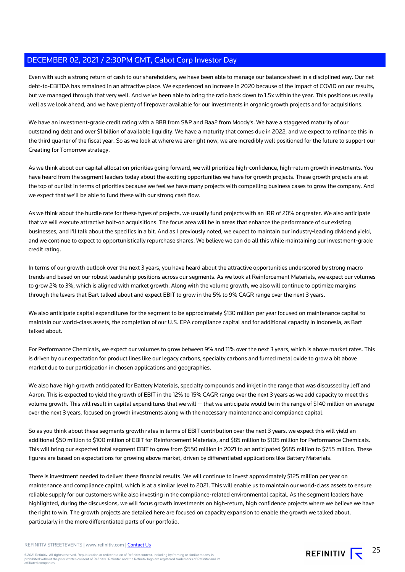Even with such a strong return of cash to our shareholders, we have been able to manage our balance sheet in a disciplined way. Our net debt-to-EBITDA has remained in an attractive place. We experienced an increase in 2020 because of the impact of COVID on our results, but we managed through that very well. And we've been able to bring the ratio back down to 1.5x within the year. This positions us really well as we look ahead, and we have plenty of firepower available for our investments in organic growth projects and for acquisitions.

We have an investment-grade credit rating with a BBB from S&P and Baa2 from Moody's. We have a staggered maturity of our outstanding debt and over \$1 billion of available liquidity. We have a maturity that comes due in 2022, and we expect to refinance this in the third quarter of the fiscal year. So as we look at where we are right now, we are incredibly well positioned for the future to support our Creating for Tomorrow strategy.

As we think about our capital allocation priorities going forward, we will prioritize high-confidence, high-return growth investments. You have heard from the segment leaders today about the exciting opportunities we have for growth projects. These growth projects are at the top of our list in terms of priorities because we feel we have many projects with compelling business cases to grow the company. And we expect that we'll be able to fund these with our strong cash flow.

As we think about the hurdle rate for these types of projects, we usually fund projects with an IRR of 20% or greater. We also anticipate that we will execute attractive bolt-on acquisitions. The focus area will be in areas that enhance the performance of our existing businesses, and I'll talk about the specifics in a bit. And as I previously noted, we expect to maintain our industry-leading dividend yield, and we continue to expect to opportunistically repurchase shares. We believe we can do all this while maintaining our investment-grade credit rating.

In terms of our growth outlook over the next 3 years, you have heard about the attractive opportunities underscored by strong macro trends and based on our robust leadership positions across our segments. As we look at Reinforcement Materials, we expect our volumes to grow 2% to 3%, which is aligned with market growth. Along with the volume growth, we also will continue to optimize margins through the levers that Bart talked about and expect EBIT to grow in the 5% to 9% CAGR range over the next 3 years.

We also anticipate capital expenditures for the segment to be approximately \$130 million per year focused on maintenance capital to maintain our world-class assets, the completion of our U.S. EPA compliance capital and for additional capacity in Indonesia, as Bart talked about.

For Performance Chemicals, we expect our volumes to grow between 9% and 11% over the next 3 years, which is above market rates. This is driven by our expectation for product lines like our legacy carbons, specialty carbons and fumed metal oxide to grow a bit above market due to our participation in chosen applications and geographies.

We also have high growth anticipated for Battery Materials, specialty compounds and inkjet in the range that was discussed by Jeff and Aaron. This is expected to yield the growth of EBIT in the 12% to 15% CAGR range over the next 3 years as we add capacity to meet this volume growth. This will result in capital expenditures that we will -- that we anticipate would be in the range of \$140 million on average over the next 3 years, focused on growth investments along with the necessary maintenance and compliance capital.

So as you think about these segments growth rates in terms of EBIT contribution over the next 3 years, we expect this will yield an additional \$50 million to \$100 million of EBIT for Reinforcement Materials, and \$85 million to \$105 million for Performance Chemicals. This will bring our expected total segment EBIT to grow from \$550 million in 2021 to an anticipated \$685 million to \$755 million. These figures are based on expectations for growing above market, driven by differentiated applications like Battery Materials.

There is investment needed to deliver these financial results. We will continue to invest approximately \$125 million per year on maintenance and compliance capital, which is at a similar level to 2021. This will enable us to maintain our world-class assets to ensure reliable supply for our customers while also investing in the compliance-related environmental capital. As the segment leaders have highlighted, during the discussions, we will focus growth investments on high-return, high confidence projects where we believe we have the right to win. The growth projects are detailed here are focused on capacity expansion to enable the growth we talked about, particularly in the more differentiated parts of our portfolio.

REFINITIV STREETEVENTS | www.refinitiv.com | [Contact Us](https://www.refinitiv.com/en/contact-us)

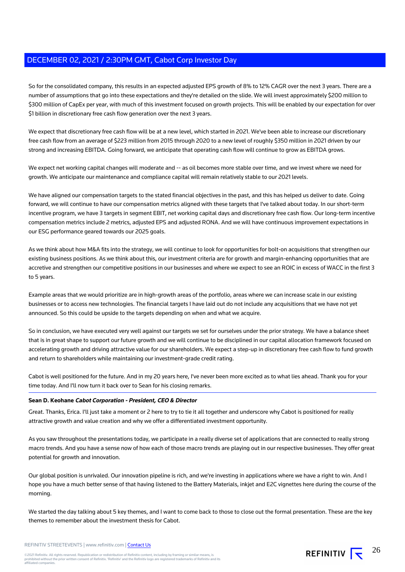So for the consolidated company, this results in an expected adjusted EPS growth of 8% to 12% CAGR over the next 3 years. There are a number of assumptions that go into these expectations and they're detailed on the slide. We will invest approximately \$200 million to \$300 million of CapEx per year, with much of this investment focused on growth projects. This will be enabled by our expectation for over \$1 billion in discretionary free cash flow generation over the next 3 years.

We expect that discretionary free cash flow will be at a new level, which started in 2021. We've been able to increase our discretionary free cash flow from an average of \$223 million from 2015 through 2020 to a new level of roughly \$350 million in 2021 driven by our strong and increasing EBITDA. Going forward, we anticipate that operating cash flow will continue to grow as EBITDA grows.

We expect net working capital changes will moderate and -- as oil becomes more stable over time, and we invest where we need for growth. We anticipate our maintenance and compliance capital will remain relatively stable to our 2021 levels.

We have aligned our compensation targets to the stated financial objectives in the past, and this has helped us deliver to date. Going forward, we will continue to have our compensation metrics aligned with these targets that I've talked about today. In our short-term incentive program, we have 3 targets in segment EBIT, net working capital days and discretionary free cash flow. Our long-term incentive compensation metrics include 2 metrics, adjusted EPS and adjusted RONA. And we will have continuous improvement expectations in our ESG performance geared towards our 2025 goals.

As we think about how M&A fits into the strategy, we will continue to look for opportunities for bolt-on acquisitions that strengthen our existing business positions. As we think about this, our investment criteria are for growth and margin-enhancing opportunities that are accretive and strengthen our competitive positions in our businesses and where we expect to see an ROIC in excess of WACC in the first 3 to 5 years.

Example areas that we would prioritize are in high-growth areas of the portfolio, areas where we can increase scale in our existing businesses or to access new technologies. The financial targets I have laid out do not include any acquisitions that we have not yet announced. So this could be upside to the targets depending on when and what we acquire.

So in conclusion, we have executed very well against our targets we set for ourselves under the prior strategy. We have a balance sheet that is in great shape to support our future growth and we will continue to be disciplined in our capital allocation framework focused on accelerating growth and driving attractive value for our shareholders. We expect a step-up in discretionary free cash flow to fund growth and return to shareholders while maintaining our investment-grade credit rating.

Cabot is well positioned for the future. And in my 20 years here, I've never been more excited as to what lies ahead. Thank you for your time today. And I'll now turn it back over to Sean for his closing remarks.

### **Sean D. Keohane Cabot Corporation - President, CEO & Director**

Great. Thanks, Erica. I'll just take a moment or 2 here to try to tie it all together and underscore why Cabot is positioned for really attractive growth and value creation and why we offer a differentiated investment opportunity.

As you saw throughout the presentations today, we participate in a really diverse set of applications that are connected to really strong macro trends. And you have a sense now of how each of those macro trends are playing out in our respective businesses. They offer great potential for growth and innovation.

Our global position is unrivaled. Our innovation pipeline is rich, and we're investing in applications where we have a right to win. And I hope you have a much better sense of that having listened to the Battery Materials, inkjet and E2C vignettes here during the course of the morning.

We started the day talking about 5 key themes, and I want to come back to those to close out the formal presentation. These are the key themes to remember about the investment thesis for Cabot.

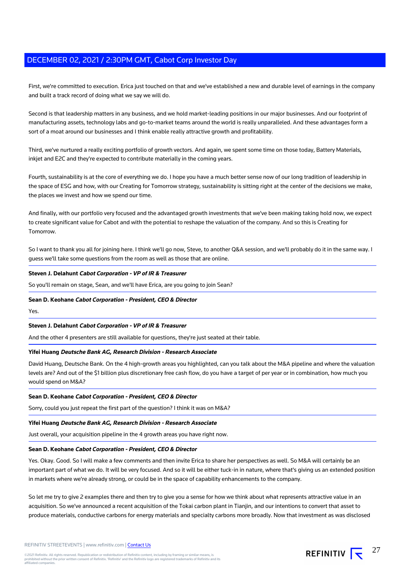First, we're committed to execution. Erica just touched on that and we've established a new and durable level of earnings in the company and built a track record of doing what we say we will do.

Second is that leadership matters in any business, and we hold market-leading positions in our major businesses. And our footprint of manufacturing assets, technology labs and go-to-market teams around the world is really unparalleled. And these advantages form a sort of a moat around our businesses and I think enable really attractive growth and profitability.

Third, we've nurtured a really exciting portfolio of growth vectors. And again, we spent some time on those today, Battery Materials, inkjet and E2C and they're expected to contribute materially in the coming years.

Fourth, sustainability is at the core of everything we do. I hope you have a much better sense now of our long tradition of leadership in the space of ESG and how, with our Creating for Tomorrow strategy, sustainability is sitting right at the center of the decisions we make, the places we invest and how we spend our time.

And finally, with our portfolio very focused and the advantaged growth investments that we've been making taking hold now, we expect to create significant value for Cabot and with the potential to reshape the valuation of the company. And so this is Creating for Tomorrow.

So I want to thank you all for joining here. I think we'll go now, Steve, to another Q&A session, and we'll probably do it in the same way. I guess we'll take some questions from the room as well as those that are online.

### **Steven J. Delahunt Cabot Corporation - VP of IR & Treasurer**

So you'll remain on stage, Sean, and we'll have Erica, are you going to join Sean?

### **Sean D. Keohane Cabot Corporation - President, CEO & Director**

Yes.

### **Steven J. Delahunt Cabot Corporation - VP of IR & Treasurer**

And the other 4 presenters are still available for questions, they're just seated at their table.

#### **Yifei Huang Deutsche Bank AG, Research Division - Research Associate**

David Huang, Deutsche Bank. On the 4 high-growth areas you highlighted, can you talk about the M&A pipeline and where the valuation levels are? And out of the \$1 billion plus discretionary free cash flow, do you have a target of per year or in combination, how much you would spend on M&A?

#### **Sean D. Keohane Cabot Corporation - President, CEO & Director**

Sorry, could you just repeat the first part of the question? I think it was on M&A?

#### **Yifei Huang Deutsche Bank AG, Research Division - Research Associate**

Just overall, your acquisition pipeline in the 4 growth areas you have right now.

#### **Sean D. Keohane Cabot Corporation - President, CEO & Director**

Yes. Okay. Good. So I will make a few comments and then invite Erica to share her perspectives as well. So M&A will certainly be an important part of what we do. It will be very focused. And so it will be either tuck-in in nature, where that's giving us an extended position in markets where we're already strong, or could be in the space of capability enhancements to the company.

So let me try to give 2 examples there and then try to give you a sense for how we think about what represents attractive value in an acquisition. So we've announced a recent acquisition of the Tokai carbon plant in Tianjin, and our intentions to convert that asset to produce materials, conductive carbons for energy materials and specialty carbons more broadly. Now that investment as was disclosed

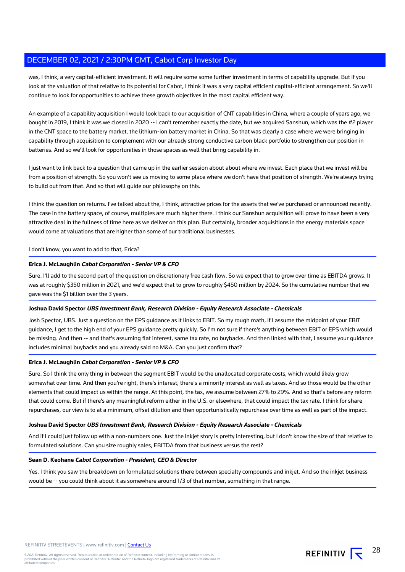was, I think, a very capital-efficient investment. It will require some some further investment in terms of capability upgrade. But if you look at the valuation of that relative to its potential for Cabot, I think it was a very capital efficient capital-efficient arrangement. So we'll continue to look for opportunities to achieve these growth objectives in the most capital efficient way.

An example of a capability acquisition I would look back to our acquisition of CNT capabilities in China, where a couple of years ago, we bought in 2019, I think it was we closed in 2020 -- I can't remember exactly the date, but we acquired Sanshun, which was the #2 player in the CNT space to the battery market, the lithium-ion battery market in China. So that was clearly a case where we were bringing in capability through acquisition to complement with our already strong conductive carbon black portfolio to strengthen our position in batteries. And so we'll look for opportunities in those spaces as well that bring capability in.

I just want to link back to a question that came up in the earlier session about about where we invest. Each place that we invest will be from a position of strength. So you won't see us moving to some place where we don't have that position of strength. We're always trying to build out from that. And so that will guide our philosophy on this.

I think the question on returns. I've talked about the, I think, attractive prices for the assets that we've purchased or announced recently. The case in the battery space, of course, multiples are much higher there. I think our Sanshun acquisition will prove to have been a very attractive deal in the fullness of time here as we deliver on this plan. But certainly, broader acquisitions in the energy materials space would come at valuations that are higher than some of our traditional businesses.

### I don't know, you want to add to that, Erica?

### **Erica J. McLaughlin Cabot Corporation - Senior VP & CFO**

Sure. I'll add to the second part of the question on discretionary free cash flow. So we expect that to grow over time as EBITDA grows. It was at roughly \$350 million in 2021, and we'd expect that to grow to roughly \$450 million by 2024. So the cumulative number that we gave was the \$1 billion over the 3 years.

### **Joshua David Spector UBS Investment Bank, Research Division - Equity Research Associate - Chemicals**

Josh Spector, UBS. Just a question on the EPS guidance as it links to EBIT. So my rough math, if I assume the midpoint of your EBIT guidance, I get to the high end of your EPS guidance pretty quickly. So I'm not sure if there's anything between EBIT or EPS which would be missing. And then -- and that's assuming flat interest, same tax rate, no buybacks. And then linked with that, I assume your guidance includes minimal buybacks and you already said no M&A. Can you just confirm that?

### **Erica J. McLaughlin Cabot Corporation - Senior VP & CFO**

Sure. So I think the only thing in between the segment EBIT would be the unallocated corporate costs, which would likely grow somewhat over time. And then you're right, there's interest, there's a minority interest as well as taxes. And so those would be the other elements that could impact us within the range. At this point, the tax, we assume between 27% to 29%. And so that's before any reform that could come. But if there's any meaningful reform either in the U.S. or elsewhere, that could impact the tax rate. I think for share repurchases, our view is to at a minimum, offset dilution and then opportunistically repurchase over time as well as part of the impact.

#### **Joshua David Spector UBS Investment Bank, Research Division - Equity Research Associate - Chemicals**

And if I could just follow up with a non-numbers one. Just the inkjet story is pretty interesting, but I don't know the size of that relative to formulated solutions. Can you size roughly sales, EBITDA from that business versus the rest?

#### **Sean D. Keohane Cabot Corporation - President, CEO & Director**

Yes. I think you saw the breakdown on formulated solutions there between specialty compounds and inkjet. And so the inkjet business would be -- you could think about it as somewhere around 1/3 of that number, something in that range.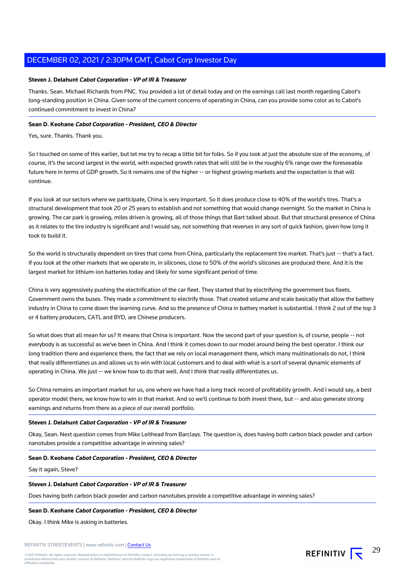### **Steven J. Delahunt Cabot Corporation - VP of IR & Treasurer**

Thanks. Sean. Michael Richards from PNC. You provided a lot of detail today and on the earnings call last month regarding Cabot's long-standing position in China. Given some of the current concerns of operating in China, can you provide some color as to Cabot's continued commitment to invest in China?

### **Sean D. Keohane Cabot Corporation - President, CEO & Director**

Yes, sure. Thanks. Thank you.

So I touched on some of this earlier, but let me try to recap a little bit for folks. So if you look at just the absolute size of the economy, of course, it's the second largest in the world, with expected growth rates that will still be in the roughly 6% range over the foreseeable future here in terms of GDP growth. So it remains one of the higher -- or highest growing markets and the expectation is that will continue.

If you look at our sectors where we participate, China is very important. So it does produce close to 40% of the world's tires. That's a structural development that took 20 or 25 years to establish and not something that would change overnight. So the market in China is growing. The car park is growing, miles driven is growing, all of those things that Bart talked about. But that structural presence of China as it relates to the tire industry is significant and I would say, not something that reverses in any sort of quick fashion, given how long it took to build it.

So the world is structurally dependent on tires that come from China, particularly the replacement tire market. That's just -- that's a fact. If you look at the other markets that we operate in, in silicones, close to 50% of the world's silicones are produced there. And it is the largest market for lithium-ion batteries today and likely for some significant period of time.

China is very aggressively pushing the electrification of the car fleet. They started that by electrifying the government bus fleets. Government owns the buses. They made a commitment to electrify those. That created volume and scale basically that allow the battery industry in China to come down the learning curve. And so the presence of China in battery market is substantial. I think 2 out of the top 3 or 4 battery producers, CATL and BYD, are Chinese producers.

So what does that all mean for us? It means that China is important. Now the second part of your question is, of course, people -- not everybody is as successful as we've been in China. And I think it comes down to our model around being the best operator. I think our long tradition there and experience there, the fact that we rely on local management there, which many multinationals do not, I think that really differentiates us and allows us to win with local customers and to deal with what is a sort of several dynamic elements of operating in China. We just -- we know how to do that well. And I think that really differentiates us.

So China remains an important market for us, one where we have had a long track record of profitability growth. And I would say, a best operator model there, we know how to win in that market. And so we'll continue to both invest there, but -- and also generate strong earnings and returns from there as a piece of our overall portfolio.

### **Steven J. Delahunt Cabot Corporation - VP of IR & Treasurer**

Okay, Sean. Next question comes from Mike Leithead from Barclays. The question is, does having both carbon black powder and carbon nanotubes provide a competitive advantage in winning sales?

### **Sean D. Keohane Cabot Corporation - President, CEO & Director**

Say it again, Steve?

#### **Steven J. Delahunt Cabot Corporation - VP of IR & Treasurer**

Does having both carbon black powder and carbon nanotubes provide a competitive advantage in winning sales?

### **Sean D. Keohane Cabot Corporation - President, CEO & Director**

Okay. I think Mike is asking in batteries.



29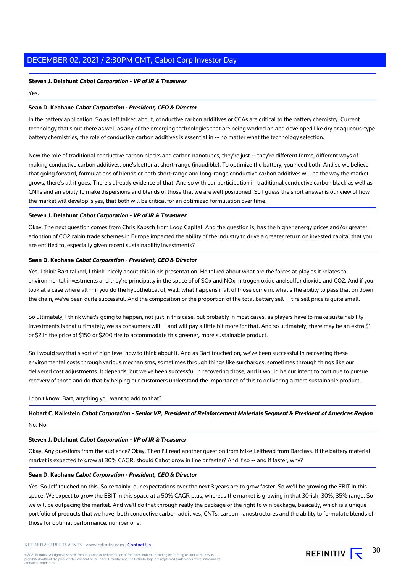#### **Steven J. Delahunt Cabot Corporation - VP of IR & Treasurer**

#### Yes.

### **Sean D. Keohane Cabot Corporation - President, CEO & Director**

In the battery application. So as Jeff talked about, conductive carbon additives or CCAs are critical to the battery chemistry. Current technology that's out there as well as any of the emerging technologies that are being worked on and developed like dry or aqueous-type battery chemistries, the role of conductive carbon additives is essential in -- no matter what the technology selection.

Now the role of traditional conductive carbon blacks and carbon nanotubes, they're just -- they're different forms, different ways of making conductive carbon additives, one's better at short-range (inaudible). To optimize the battery, you need both. And so we believe that going forward, formulations of blends or both short-range and long-range conductive carbon additives will be the way the market grows, there's all it goes. There's already evidence of that. And so with our participation in traditional conductive carbon black as well as CNTs and an ability to make dispersions and blends of those that we are well positioned. So I guess the short answer is our view of how the market will develop is yes, that both will be critical for an optimized formulation over time.

### **Steven J. Delahunt Cabot Corporation - VP of IR & Treasurer**

Okay. The next question comes from Chris Kapsch from Loop Capital. And the question is, has the higher energy prices and/or greater adoption of CO2 cabin trade schemes in Europe impacted the ability of the industry to drive a greater return on invested capital that you are entitled to, especially given recent sustainability investments?

### **Sean D. Keohane Cabot Corporation - President, CEO & Director**

Yes. I think Bart talked, I think, nicely about this in his presentation. He talked about what are the forces at play as it relates to environmental investments and they're principally in the space of of SOx and NOx, nitrogen oxide and sulfur dioxide and CO2. And if you look at a case where all -- if you do the hypothetical of, well, what happens if all of those come in, what's the ability to pass that on down the chain, we've been quite successful. And the composition or the proportion of the total battery sell -- tire sell price is quite small.

So ultimately, I think what's going to happen, not just in this case, but probably in most cases, as players have to make sustainability investments is that ultimately, we as consumers will -- and will pay a little bit more for that. And so ultimately, there may be an extra \$1 or \$2 in the price of \$150 or \$200 tire to accommodate this greener, more sustainable product.

So I would say that's sort of high level how to think about it. And as Bart touched on, we've been successful in recovering these environmental costs through various mechanisms, sometimes through things like surcharges, sometimes through things like our delivered cost adjustments. It depends, but we've been successful in recovering those, and it would be our intent to continue to pursue recovery of those and do that by helping our customers understand the importance of this to delivering a more sustainable product.

#### I don't know, Bart, anything you want to add to that?

**Hobart C. Kalkstein Cabot Corporation - Senior VP, President of Reinforcement Materials Segment & President of Americas Region** No. No.

### **Steven J. Delahunt Cabot Corporation - VP of IR & Treasurer**

Okay. Any questions from the audience? Okay. Then I'll read another question from Mike Leithead from Barclays. If the battery material market is expected to grow at 30% CAGR, should Cabot grow in line or faster? And if so -- and if faster, why?

### **Sean D. Keohane Cabot Corporation - President, CEO & Director**

Yes. So Jeff touched on this. So certainly, our expectations over the next 3 years are to grow faster. So we'll be growing the EBIT in this space. We expect to grow the EBIT in this space at a 50% CAGR plus, whereas the market is growing in that 30-ish, 30%, 35% range. So we will be outpacing the market. And we'll do that through really the package or the right to win package, basically, which is a unique portfolio of products that we have, both conductive carbon additives, CNTs, carbon nanostructures and the ability to formulate blends of those for optimal performance, number one.

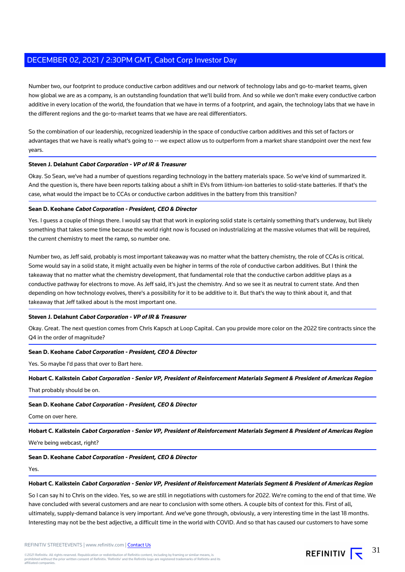Number two, our footprint to produce conductive carbon additives and our network of technology labs and go-to-market teams, given how global we are as a company, is an outstanding foundation that we'll build from. And so while we don't make every conductive carbon additive in every location of the world, the foundation that we have in terms of a footprint, and again, the technology labs that we have in the different regions and the go-to-market teams that we have are real differentiators.

So the combination of our leadership, recognized leadership in the space of conductive carbon additives and this set of factors or advantages that we have is really what's going to -- we expect allow us to outperform from a market share standpoint over the next few years.

### **Steven J. Delahunt Cabot Corporation - VP of IR & Treasurer**

Okay. So Sean, we've had a number of questions regarding technology in the battery materials space. So we've kind of summarized it. And the question is, there have been reports talking about a shift in EVs from lithium-ion batteries to solid-state batteries. If that's the case, what would the impact be to CCAs or conductive carbon additives in the battery from this transition?

#### **Sean D. Keohane Cabot Corporation - President, CEO & Director**

Yes. I guess a couple of things there. I would say that that work in exploring solid state is certainly something that's underway, but likely something that takes some time because the world right now is focused on industrializing at the massive volumes that will be required, the current chemistry to meet the ramp, so number one.

Number two, as Jeff said, probably is most important takeaway was no matter what the battery chemistry, the role of CCAs is critical. Some would say in a solid state, it might actually even be higher in terms of the role of conductive carbon additives. But I think the takeaway that no matter what the chemistry development, that fundamental role that the conductive carbon additive plays as a conductive pathway for electrons to move. As Jeff said, it's just the chemistry. And so we see it as neutral to current state. And then depending on how technology evolves, there's a possibility for it to be additive to it. But that's the way to think about it, and that takeaway that Jeff talked about is the most important one.

### **Steven J. Delahunt Cabot Corporation - VP of IR & Treasurer**

Okay. Great. The next question comes from Chris Kapsch at Loop Capital. Can you provide more color on the 2022 tire contracts since the Q4 in the order of magnitude?

#### **Sean D. Keohane Cabot Corporation - President, CEO & Director**

Yes. So maybe I'd pass that over to Bart here.

**Hobart C. Kalkstein Cabot Corporation - Senior VP, President of Reinforcement Materials Segment & President of Americas Region**

That probably should be on.

### **Sean D. Keohane Cabot Corporation - President, CEO & Director**

Come on over here.

**Hobart C. Kalkstein Cabot Corporation - Senior VP, President of Reinforcement Materials Segment & President of Americas Region**

We're being webcast, right?

### **Sean D. Keohane Cabot Corporation - President, CEO & Director**

Yes.

#### **Hobart C. Kalkstein Cabot Corporation - Senior VP, President of Reinforcement Materials Segment & President of Americas Region**

So I can say hi to Chris on the video. Yes, so we are still in negotiations with customers for 2022. We're coming to the end of that time. We have concluded with several customers and are near to conclusion with some others. A couple bits of context for this. First of all, ultimately, supply-demand balance is very important. And we've gone through, obviously, a very interesting time in the last 18 months. Interesting may not be the best adjective, a difficult time in the world with COVID. And so that has caused our customers to have some

REFINITIV STREETEVENTS | www.refinitiv.com | [Contact Us](https://www.refinitiv.com/en/contact-us)

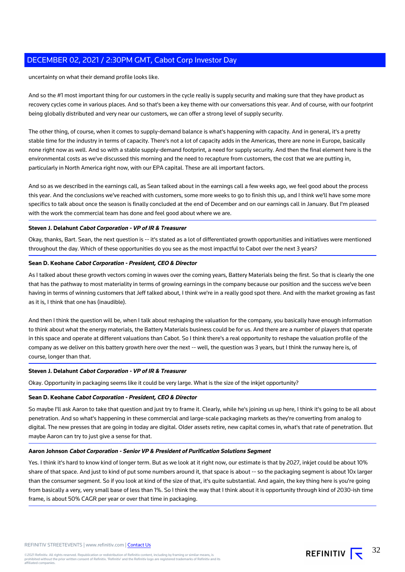uncertainty on what their demand profile looks like.

And so the #1 most important thing for our customers in the cycle really is supply security and making sure that they have product as recovery cycles come in various places. And so that's been a key theme with our conversations this year. And of course, with our footprint being globally distributed and very near our customers, we can offer a strong level of supply security.

The other thing, of course, when it comes to supply-demand balance is what's happening with capacity. And in general, it's a pretty stable time for the industry in terms of capacity. There's not a lot of capacity adds in the Americas, there are none in Europe, basically none right now as well. And so with a stable supply-demand footprint, a need for supply security. And then the final element here is the environmental costs as we've discussed this morning and the need to recapture from customers, the cost that we are putting in, particularly in North America right now, with our EPA capital. These are all important factors.

And so as we described in the earnings call, as Sean talked about in the earnings call a few weeks ago, we feel good about the process this year. And the conclusions we've reached with customers, some more weeks to go to finish this up, and I think we'll have some more specifics to talk about once the season is finally concluded at the end of December and on our earnings call in January. But I'm pleased with the work the commercial team has done and feel good about where we are.

#### **Steven J. Delahunt Cabot Corporation - VP of IR & Treasurer**

Okay, thanks, Bart. Sean, the next question is -- it's stated as a lot of differentiated growth opportunities and initiatives were mentioned throughout the day. Which of these opportunities do you see as the most impactful to Cabot over the next 3 years?

### **Sean D. Keohane Cabot Corporation - President, CEO & Director**

As I talked about these growth vectors coming in waves over the coming years, Battery Materials being the first. So that is clearly the one that has the pathway to most materiality in terms of growing earnings in the company because our position and the success we've been having in terms of winning customers that Jeff talked about, I think we're in a really good spot there. And with the market growing as fast as it is, I think that one has (inaudible).

And then I think the question will be, when I talk about reshaping the valuation for the company, you basically have enough information to think about what the energy materials, the Battery Materials business could be for us. And there are a number of players that operate in this space and operate at different valuations than Cabot. So I think there's a real opportunity to reshape the valuation profile of the company as we deliver on this battery growth here over the next -- well, the question was 3 years, but I think the runway here is, of course, longer than that.

#### **Steven J. Delahunt Cabot Corporation - VP of IR & Treasurer**

Okay. Opportunity in packaging seems like it could be very large. What is the size of the inkjet opportunity?

#### **Sean D. Keohane Cabot Corporation - President, CEO & Director**

So maybe I'll ask Aaron to take that question and just try to frame it. Clearly, while he's joining us up here, I think it's going to be all about penetration. And so what's happening in these commercial and large-scale packaging markets as they're converting from analog to digital. The new presses that are going in today are digital. Older assets retire, new capital comes in, what's that rate of penetration. But maybe Aaron can try to just give a sense for that.

### **Aaron Johnson Cabot Corporation - Senior VP & President of Purification Solutions Segment**

Yes. I think it's hard to know kind of longer term. But as we look at it right now, our estimate is that by 2027, inkjet could be about 10% share of that space. And just to kind of put some numbers around it, that space is about -- so the packaging segment is about 10x larger than the consumer segment. So if you look at kind of the size of that, it's quite substantial. And again, the key thing here is you're going from basically a very, very small base of less than 1%. So I think the way that I think about it is opportunity through kind of 2030-ish time frame, is about 50% CAGR per year or over that time in packaging.